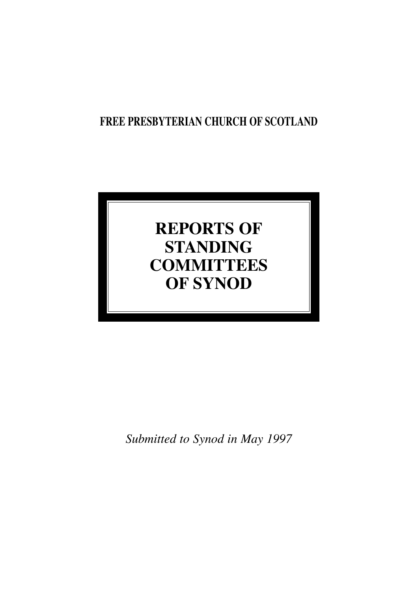# **FREE PRESBYTERIAN CHURCH OF SCOTLAND**

# **REPORTS OF STANDING COMMITTEES OF SYNOD**

*Submitted to Synod in May 1997*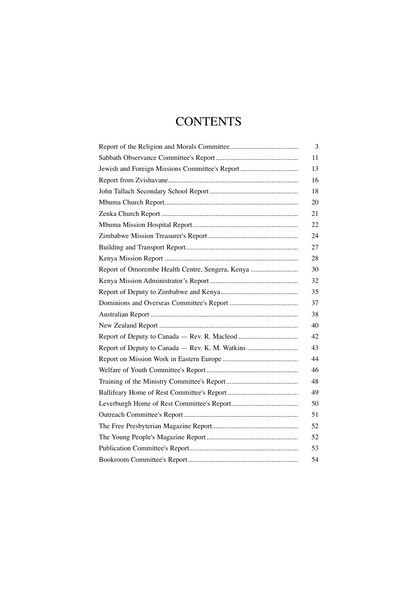# **CONTENTS**

|                                                  | 3  |
|--------------------------------------------------|----|
|                                                  | 11 |
| Jewish and Foreign Missions Committee's Report   | 13 |
|                                                  | 16 |
|                                                  | 18 |
|                                                  | 20 |
|                                                  | 21 |
|                                                  | 22 |
|                                                  | 24 |
|                                                  | 27 |
|                                                  | 28 |
| Report of Omorembe Health Centre, Sengera, Kenya | 30 |
|                                                  | 32 |
|                                                  | 35 |
|                                                  | 37 |
|                                                  | 38 |
|                                                  | 40 |
|                                                  | 42 |
| Report of Deputy to Canada - Rev. K. M. Watkins  | 43 |
|                                                  | 44 |
|                                                  | 46 |
|                                                  | 48 |
|                                                  | 49 |
|                                                  | 50 |
|                                                  | 51 |
|                                                  | 52 |
|                                                  | 52 |
|                                                  | 53 |
|                                                  | 54 |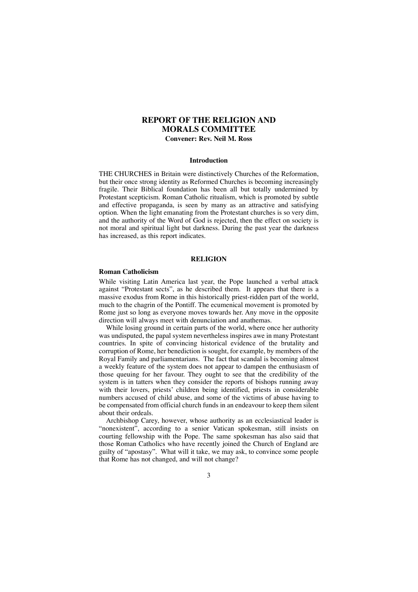## **REPORT OF THE RELIGION AND MORALS COMMITTEE**

**Convener: Rev. Neil M. Ross**

#### **Introduction**

THE CHURCHES in Britain were distinctively Churches of the Reformation, but their once strong identity as Reformed Churches is becoming increasingly fragile. Their Biblical foundation has been all but totally undermined by Protestant scepticism. Roman Catholic ritualism, which is promoted by subtle and effective propaganda, is seen by many as an attractive and satisfying option. When the light emanating from the Protestant churches is so very dim, and the authority of the Word of God is rejected, then the effect on society is not moral and spiritual light but darkness. During the past year the darkness has increased, as this report indicates.

#### **RELIGION**

#### **Roman Catholicism**

While visiting Latin America last year, the Pope launched a verbal attack against "Protestant sects", as he described them. It appears that there is a massive exodus from Rome in this historically priest-ridden part of the world, much to the chagrin of the Pontiff. The ecumenical movement is promoted by Rome just so long as everyone moves towards her. Any move in the opposite direction will always meet with denunciation and anathemas.

While losing ground in certain parts of the world, where once her authority was undisputed, the papal system nevertheless inspires awe in many Protestant countries. In spite of convincing historical evidence of the brutality and corruption of Rome, her benediction is sought, for example, by members of the Royal Family and parliamentarians. The fact that scandal is becoming almost a weekly feature of the system does not appear to dampen the enthusiasm of those queuing for her favour. They ought to see that the credibility of the system is in tatters when they consider the reports of bishops running away with their lovers, priests' children being identified, priests in considerable numbers accused of child abuse, and some of the victims of abuse having to be compensated from official church funds in an endeavour to keep them silent about their ordeals.

Archbishop Carey, however, whose authority as an ecclesiastical leader is "nonexistent", according to a senior Vatican spokesman, still insists on courting fellowship with the Pope. The same spokesman has also said that those Roman Catholics who have recently joined the Church of England are guilty of "apostasy". What will it take, we may ask, to convince some people that Rome has not changed, and will not change?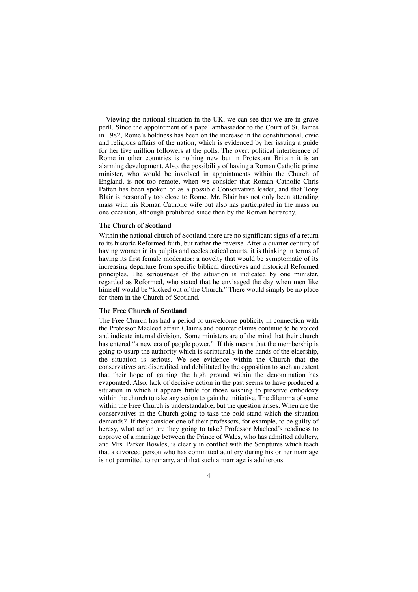Viewing the national situation in the UK, we can see that we are in grave peril. Since the appointment of a papal ambassador to the Court of St. James in 1982, Rome's boldness has been on the increase in the constitutional, civic and religious affairs of the nation, which is evidenced by her issuing a guide for her five million followers at the polls. The overt political interference of Rome in other countries is nothing new but in Protestant Britain it is an alarming development. Also, the possibility of having a Roman Catholic prime minister, who would be involved in appointments within the Church of England, is not too remote, when we consider that Roman Catholic Chris Patten has been spoken of as a possible Conservative leader, and that Tony Blair is personally too close to Rome. Mr. Blair has not only been attending mass with his Roman Catholic wife but also has participated in the mass on one occasion, although prohibited since then by the Roman heirarchy.

#### **The Church of Scotland**

Within the national church of Scotland there are no significant signs of a return to its historic Reformed faith, but rather the reverse. After a quarter century of having women in its pulpits and ecclesiastical courts, it is thinking in terms of having its first female moderator: a novelty that would be symptomatic of its increasing departure from specific biblical directives and historical Reformed principles. The seriousness of the situation is indicated by one minister, regarded as Reformed, who stated that he envisaged the day when men like himself would be "kicked out of the Church." There would simply be no place for them in the Church of Scotland.

#### **The Free Church of Scotland**

The Free Church has had a period of unwelcome publicity in connection with the Professor Macleod affair. Claims and counter claims continue to be voiced and indicate internal division. Some ministers are of the mind that their church has entered "a new era of people power." If this means that the membership is going to usurp the authority which is scripturally in the hands of the eldership, the situation is serious. We see evidence within the Church that the conservatives are discredited and debilitated by the opposition to such an extent that their hope of gaining the high ground within the denomination has evaporated. Also, lack of decisive action in the past seems to have produced a situation in which it appears futile for those wishing to preserve orthodoxy within the church to take any action to gain the initiative. The dilemma of some within the Free Church is understandable, but the question arises, When are the conservatives in the Church going to take the bold stand which the situation demands? If they consider one of their professors, for example, to be guilty of heresy, what action are they going to take? Professor Macleod's readiness to approve of a marriage between the Prince of Wales, who has admitted adultery, and Mrs. Parker Bowles, is clearly in conflict with the Scriptures which teach that a divorced person who has committed adultery during his or her marriage is not permitted to remarry, and that such a marriage is adulterous.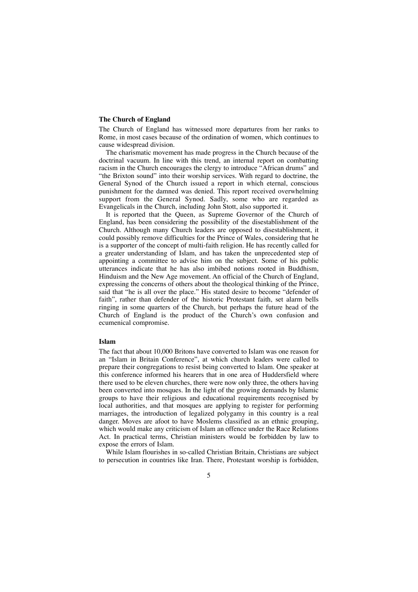#### **The Church of England**

The Church of England has witnessed more departures from her ranks to Rome, in most cases because of the ordination of women, which continues to cause widespread division.

The charismatic movement has made progress in the Church because of the doctrinal vacuum. In line with this trend, an internal report on combatting racism in the Church encourages the clergy to introduce "African drums" and "the Brixton sound" into their worship services. With regard to doctrine, the General Synod of the Church issued a report in which eternal, conscious punishment for the damned was denied. This report received overwhelming support from the General Synod. Sadly, some who are regarded as Evangelicals in the Church, including John Stott, also supported it.

It is reported that the Queen, as Supreme Governor of the Church of England, has been considering the possibility of the disestablishment of the Church. Although many Church leaders are opposed to disestablishment, it could possibly remove difficulties for the Prince of Wales, considering that he is a supporter of the concept of multi-faith religion. He has recently called for a greater understanding of Islam, and has taken the unprecedented step of appointing a committee to advise him on the subject. Some of his public utterances indicate that he has also imbibed notions rooted in Buddhism, Hinduism and the New Age movement. An official of the Church of England, expressing the concerns of others about the theological thinking of the Prince, said that "he is all over the place." His stated desire to become "defender of faith", rather than defender of the historic Protestant faith, set alarm bells ringing in some quarters of the Church, but perhaps the future head of the Church of England is the product of the Church's own confusion and ecumenical compromise.

#### **Islam**

The fact that about 10,000 Britons have converted to Islam was one reason for an "Islam in Britain Conference", at which church leaders were called to prepare their congregations to resist being converted to Islam. One speaker at this conference informed his hearers that in one area of Huddersfield where there used to be eleven churches, there were now only three, the others having been converted into mosques. In the light of the growing demands by Islamic groups to have their religious and educational requirements recognised by local authorities, and that mosques are applying to register for performing marriages, the introduction of legalized polygamy in this country is a real danger. Moves are afoot to have Moslems classified as an ethnic grouping, which would make any criticism of Islam an offence under the Race Relations Act. In practical terms, Christian ministers would be forbidden by law to expose the errors of Islam.

While Islam flourishes in so-called Christian Britain, Christians are subject to persecution in countries like Iran. There, Protestant worship is forbidden,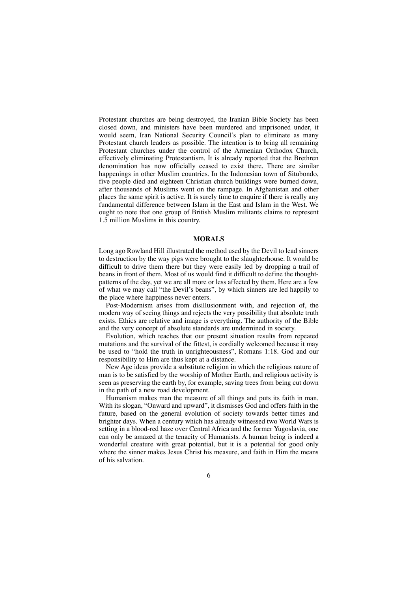Protestant churches are being destroyed, the Iranian Bible Society has been closed down, and ministers have been murdered and imprisoned under, it would seem, Iran National Security Council's plan to eliminate as many Protestant church leaders as possible. The intention is to bring all remaining Protestant churches under the control of the Armenian Orthodox Church, effectively eliminating Protestantism. It is already reported that the Brethren denomination has now officially ceased to exist there. There are similar happenings in other Muslim countries. In the Indonesian town of Situbondo, five people died and eighteen Christian church buildings were burned down, after thousands of Muslims went on the rampage. In Afghanistan and other places the same spirit is active. It is surely time to enquire if there is really any fundamental difference between Islam in the East and Islam in the West. We ought to note that one group of British Muslim militants claims to represent 1.5 million Muslims in this country.

#### **MORALS**

Long ago Rowland Hill illustrated the method used by the Devil to lead sinners to destruction by the way pigs were brought to the slaughterhouse. It would be difficult to drive them there but they were easily led by dropping a trail of beans in front of them. Most of us would find it difficult to define the thoughtpatterns of the day, yet we are all more or less affected by them. Here are a few of what we may call "the Devil's beans", by which sinners are led happily to the place where happiness never enters.

Post-Modernism arises from disillusionment with, and rejection of, the modern way of seeing things and rejects the very possibility that absolute truth exists. Ethics are relative and image is everything. The authority of the Bible and the very concept of absolute standards are undermined in society.

Evolution, which teaches that our present situation results from repeated mutations and the survival of the fittest, is cordially welcomed because it may be used to "hold the truth in unrighteousness", Romans 1:18. God and our responsibility to Him are thus kept at a distance.

New Age ideas provide a substitute religion in which the religious nature of man is to be satisfied by the worship of Mother Earth, and religious activity is seen as preserving the earth by, for example, saving trees from being cut down in the path of a new road development.

Humanism makes man the measure of all things and puts its faith in man. With its slogan, "Onward and upward", it dismisses God and offers faith in the future, based on the general evolution of society towards better times and brighter days. When a century which has already witnessed two World Wars is setting in a blood-red haze over Central Africa and the former Yugoslavia, one can only be amazed at the tenacity of Humanists. A human being is indeed a wonderful creature with great potential, but it is a potential for good only where the sinner makes Jesus Christ his measure, and faith in Him the means of his salvation.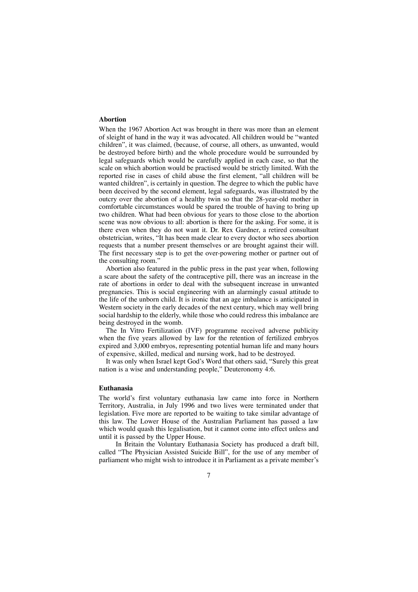#### **Abortion**

When the 1967 Abortion Act was brought in there was more than an element of sleight of hand in the way it was advocated. All children would be "wanted children", it was claimed, (because, of course, all others, as unwanted, would be destroyed before birth) and the whole procedure would be surrounded by legal safeguards which would be carefully applied in each case, so that the scale on which abortion would be practised would be strictly limited. With the reported rise in cases of child abuse the first element, "all children will be wanted children", is certainly in question. The degree to which the public have been deceived by the second element, legal safeguards, was illustrated by the outcry over the abortion of a healthy twin so that the 28-year-old mother in comfortable circumstances would be spared the trouble of having to bring up two children. What had been obvious for years to those close to the abortion scene was now obvious to all: abortion is there for the asking. For some, it is there even when they do not want it. Dr. Rex Gardner, a retired consultant obstetrician, writes, "It has been made clear to every doctor who sees abortion requests that a number present themselves or are brought against their will. The first necessary step is to get the over-powering mother or partner out of the consulting room."

Abortion also featured in the public press in the past year when, following a scare about the safety of the contraceptive pill, there was an increase in the rate of abortions in order to deal with the subsequent increase in unwanted pregnancies. This is social engineering with an alarmingly casual attitude to the life of the unborn child. It is ironic that an age imbalance is anticipated in Western society in the early decades of the next century, which may well bring social hardship to the elderly, while those who could redress this imbalance are being destroyed in the womb.

The In Vitro Fertilization (IVF) programme received adverse publicity when the five years allowed by law for the retention of fertilized embryos expired and 3,000 embryos, representing potential human life and many hours of expensive, skilled, medical and nursing work, had to be destroyed.

It was only when Israel kept God's Word that others said, "Surely this great nation is a wise and understanding people," Deuteronomy 4:6.

#### **Euthanasia**

The world's first voluntary euthanasia law came into force in Northern Territory, Australia, in July 1996 and two lives were terminated under that legislation. Five more are reported to be waiting to take similar advantage of this law. The Lower House of the Australian Parliament has passed a law which would quash this legalisation, but it cannot come into effect unless and until it is passed by the Upper House.

In Britain the Voluntary Euthanasia Society has produced a draft bill, called "The Physician Assisted Suicide Bill", for the use of any member of parliament who might wish to introduce it in Parliament as a private member's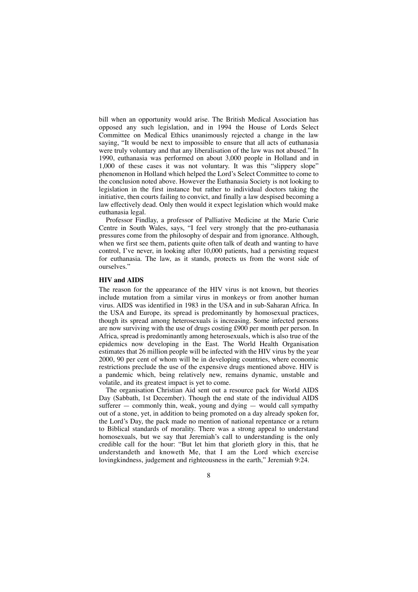bill when an opportunity would arise. The British Medical Association has opposed any such legislation, and in 1994 the House of Lords Select Committee on Medical Ethics unanimously rejected a change in the law saying, "It would be next to impossible to ensure that all acts of euthanasia were truly voluntary and that any liberalisation of the law was not abused." In 1990, euthanasia was performed on about 3,000 people in Holland and in 1,000 of these cases it was not voluntary. It was this "slippery slope" phenomenon in Holland which helped the Lord's Select Committee to come to the conclusion noted above. However the Euthanasia Society is not looking to legislation in the first instance but rather to individual doctors taking the initiative, then courts failing to convict, and finally a law despised becoming a law effectively dead. Only then would it expect legislation which would make euthanasia legal.

Professor Findlay, a professor of Palliative Medicine at the Marie Curie Centre in South Wales, says, "I feel very strongly that the pro-euthanasia pressures come from the philosophy of despair and from ignorance. Although, when we first see them, patients quite often talk of death and wanting to have control, I've never, in looking after 10,000 patients, had a persisting request for euthanasia. The law, as it stands, protects us from the worst side of ourselves."

#### **HIV and AIDS**

The reason for the appearance of the HIV virus is not known, but theories include mutation from a similar virus in monkeys or from another human virus. AIDS was identified in 1983 in the USA and in sub-Saharan Africa. In the USA and Europe, its spread is predominantly by homosexual practices, though its spread among heterosexuals is increasing. Some infected persons are now surviving with the use of drugs costing £900 per month per person. In Africa, spread is predominantly among heterosexuals, which is also true of the epidemics now developing in the East. The World Health Organisation estimates that 26 million people will be infected with the HIV virus by the year 2000, 90 per cent of whom will be in developing countries, where economic restrictions preclude the use of the expensive drugs mentioned above. HIV is a pandemic which, being relatively new, remains dynamic, unstable and volatile, and its greatest impact is yet to come.

The organisation Christian Aid sent out a resource pack for World AIDS Day (Sabbath, 1st December). Though the end state of the individual AIDS sufferer  $-$  commonly thin, weak, young and dying  $-$  would call sympathy out of a stone, yet, in addition to being promoted on a day already spoken for, the Lord's Day, the pack made no mention of national repentance or a return to Biblical standards of morality. There was a strong appeal to understand homosexuals, but we say that Jeremiah's call to understanding is the only credible call for the hour: "But let him that glorieth glory in this, that he understandeth and knoweth Me, that I am the Lord which exercise lovingkindness, judgement and righteousness in the earth," Jeremiah 9:24.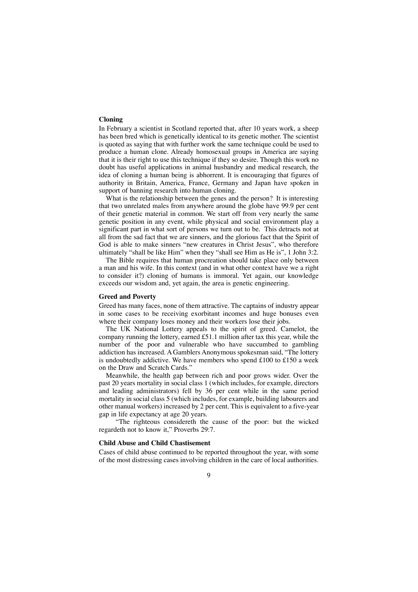#### **Cloning**

In February a scientist in Scotland reported that, after 10 years work, a sheep has been bred which is genetically identical to its genetic mother. The scientist is quoted as saying that with further work the same technique could be used to produce a human clone. Already homosexual groups in America are saying that it is their right to use this technique if they so desire. Though this work no doubt has useful applications in animal husbandry and medical research, the idea of cloning a human being is abhorrent. It is encouraging that figures of authority in Britain, America, France, Germany and Japan have spoken in support of banning research into human cloning.

What is the relationship between the genes and the person? It is interesting that two unrelated males from anywhere around the globe have 99.9 per cent of their genetic material in common. We start off from very nearly the same genetic position in any event, while physical and social environment play a significant part in what sort of persons we turn out to be. This detracts not at all from the sad fact that we are sinners, and the glorious fact that the Spirit of God is able to make sinners "new creatures in Christ Jesus", who therefore ultimately "shall be like Him" when they "shall see Him as He is", 1 John 3:2.

The Bible requires that human procreation should take place only between a man and his wife. In this context (and in what other context have we a right to consider it?) cloning of humans is immoral. Yet again, our knowledge exceeds our wisdom and, yet again, the area is genetic engineering.

#### **Greed and Poverty**

Greed has many faces, none of them attractive. The captains of industry appear in some cases to be receiving exorbitant incomes and huge bonuses even where their company loses money and their workers lose their jobs.

The UK National Lottery appeals to the spirit of greed. Camelot, the company running the lottery, earned £51.1 million after tax this year, while the number of the poor and vulnerable who have succumbed to gambling addiction has increased. A Gamblers Anonymous spokesman said, "The lottery is undoubtedly addictive. We have members who spend £100 to £150 a week on the Draw and Scratch Cards."

Meanwhile, the health gap between rich and poor grows wider. Over the past 20 years mortality in social class 1 (which includes, for example, directors and leading administrators) fell by 36 per cent while in the same period mortality in social class 5 (which includes, for example, building labourers and other manual workers) increased by 2 per cent. This is equivalent to a five-year gap in life expectancy at age 20 years.

"The righteous considereth the cause of the poor: but the wicked regardeth not to know it," Proverbs 29:7.

#### **Child Abuse and Child Chastisement**

Cases of child abuse continued to be reported throughout the year, with some of the most distressing cases involving children in the care of local authorities.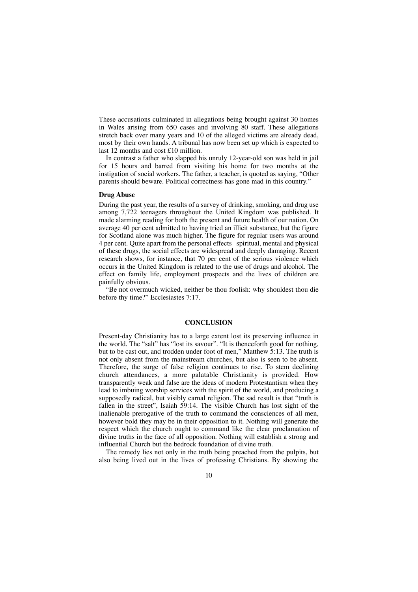These accusations culminated in allegations being brought against 30 homes in Wales arising from 650 cases and involving 80 staff. These allegations stretch back over many years and 10 of the alleged victims are already dead, most by their own hands. A tribunal has now been set up which is expected to last 12 months and cost £10 million.

In contrast a father who slapped his unruly 12-year-old son was held in jail for 15 hours and barred from visiting his home for two months at the instigation of social workers. The father, a teacher, is quoted as saying, "Other parents should beware. Political correctness has gone mad in this country."

#### **Drug Abuse**

During the past year, the results of a survey of drinking, smoking, and drug use among 7,722 teenagers throughout the United Kingdom was published. It made alarming reading for both the present and future health of our nation. On average 40 per cent admitted to having tried an illicit substance, but the figure for Scotland alone was much higher. The figure for regular users was around 4 per cent. Quite apart from the personal effects spiritual, mental and physical of these drugs, the social effects are widespread and deeply damaging. Recent research shows, for instance, that 70 per cent of the serious violence which occurs in the United Kingdom is related to the use of drugs and alcohol. The effect on family life, employment prospects and the lives of children are painfully obvious.

"Be not overmuch wicked, neither be thou foolish: why shouldest thou die before thy time?" Ecclesiastes 7:17.

#### **CONCLUSION**

Present-day Christianity has to a large extent lost its preserving influence in the world. The "salt" has "lost its savour". "It is thenceforth good for nothing, but to be cast out, and trodden under foot of men," Matthew 5:13. The truth is not only absent from the mainstream churches, but also is seen to be absent. Therefore, the surge of false religion continues to rise. To stem declining church attendances, a more palatable Christianity is provided. How transparently weak and false are the ideas of modern Protestantism when they lead to imbuing worship services with the spirit of the world, and producing a supposedly radical, but visibly carnal religion. The sad result is that "truth is fallen in the street", Isaiah 59:14. The visible Church has lost sight of the inalienable prerogative of the truth to command the consciences of all men, however bold they may be in their opposition to it. Nothing will generate the respect which the church ought to command like the clear proclamation of divine truths in the face of all opposition. Nothing will establish a strong and influential Church but the bedrock foundation of divine truth.

The remedy lies not only in the truth being preached from the pulpits, but also being lived out in the lives of professing Christians. By showing the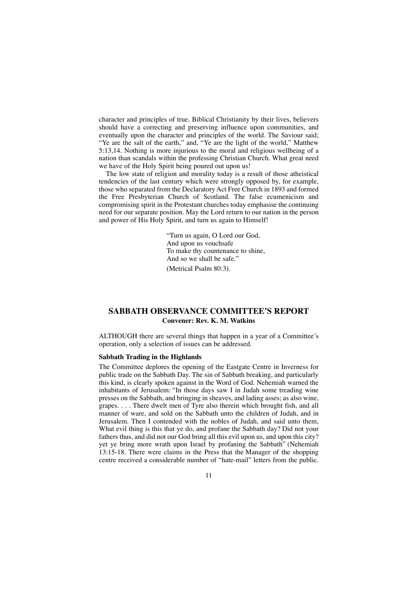character and principles of true, Biblical Christianity by their lives, believers should have a correcting and preserving influence upon communities, and eventually upon the character and principles of the world. The Saviour said; "Ye are the salt of the earth," and, "Ye are the light of the world," Matthew 5:13,14. Nothing is more injurious to the moral and religious wellbeing of a nation than scandals within the professing Christian Church. What great need we have of the Holy Spirit being poured out upon us!

The low state of religion and morality today is a result of those atheistical tendencies of the last century which were strongly opposed by, for example, those who separated from the Declaratory Act Free Church in 1893 and formed the Free Presbyterian Church of Scotland. The false ecumenicism and compromising spirit in the Protestant churches today emphasise the continuing need for our separate position. May the Lord return to our nation in the person and power of His Holy Spirit, and turn us again to Himself!

> "Turn us again, O Lord our God, And upon us vouchsafe To make thy countenance to shine, And so we shall be safe." (Metrical Psalm 80:3).

## **SABBATH OBSERVANCE COMMITTEE'S REPORT Convener: Rev. K. M. Watkins**

ALTHOUGH there are several things that happen in a year of a Committee's operation, only a selection of issues can be addressed.

#### **Sabbath Trading in the Highlands**

The Committee deplores the opening of the Eastgate Centre in Inverness for public trade on the Sabbath Day. The sin of Sabbath breaking, and particularly this kind, is clearly spoken against in the Word of God. Nehemiah warned the inhabitants of Jerusalem: "In those days saw I in Judah some treading wine presses on the Sabbath, and bringing in sheaves, and lading asses; as also wine, grapes. . . . There dwelt men of Tyre also therein which brought fish, and all manner of ware, and sold on the Sabbath unto the children of Judah, and in Jerusalem. Then I contended with the nobles of Judah, and said unto them, What evil thing is this that ye do, and profane the Sabbath day? Did not your fathers thus, and did not our God bring all this evil upon us, and upon this city? yet ye bring more wrath upon Israel by profaning the Sabbath" (Nehemiah 13:15-18. There were claims in the Press that the Manager of the shopping centre received a considerable number of "hate-mail" letters from the public.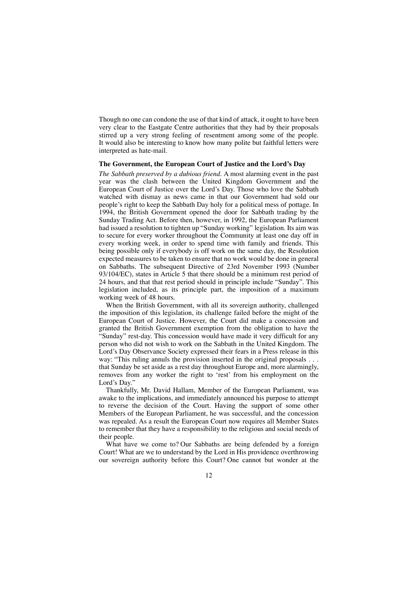Though no one can condone the use of that kind of attack, it ought to have been very clear to the Eastgate Centre authorities that they had by their proposals stirred up a very strong feeling of resentment among some of the people. It would also be interesting to know how many polite but faithful letters were interpreted as hate-mail.

#### **The Government, the European Court of Justice and the Lord's Day**

*The Sabbath preserved by a dubious friend.* A most alarming event in the past year was the clash between the United Kingdom Government and the European Court of Justice over the Lord's Day. Those who love the Sabbath watched with dismay as news came in that our Government had sold our people's right to keep the Sabbath Day holy for a political mess of pottage. In 1994, the British Government opened the door for Sabbath trading by the Sunday Trading Act. Before then, however, in 1992, the European Parliament had issued a resolution to tighten up "Sunday working" legislation. Its aim was to secure for every worker throughout the Community at least one day off in every working week, in order to spend time with family and friends. This being possible only if everybody is off work on the same day, the Resolution expected measures to be taken to ensure that no work would be done in general on Sabbaths. The subsequent Directive of 23rd November 1993 (Number 93/104/EC), states in Article 5 that there should be a minimum rest period of 24 hours, and that that rest period should in principle include "Sunday". This legislation included, as its principle part, the imposition of a maximum working week of 48 hours.

When the British Government, with all its sovereign authority, challenged the imposition of this legislation, its challenge failed before the might of the European Court of Justice. However, the Court did make a concession and granted the British Government exemption from the obligation to have the "Sunday" rest-day. This concession would have made it very difficult for any person who did not wish to work on the Sabbath in the United Kingdom. The Lord's Day Observance Society expressed their fears in a Press release in this way: "This ruling annuls the provision inserted in the original proposals . . . that Sunday be set aside as a rest day throughout Europe and, more alarmingly, removes from any worker the right to 'rest' from his employment on the Lord's Day."

Thankfully, Mr. David Hallam, Member of the European Parliament, was awake to the implications, and immediately announced his purpose to attempt to reverse the decision of the Court. Having the support of some other Members of the European Parliament, he was successful, and the concession was repealed. As a result the European Court now requires all Member States to remember that they have a responsibility to the religious and social needs of their people.

What have we come to? Our Sabbaths are being defended by a foreign Court! What are we to understand by the Lord in His providence overthrowing our sovereign authority before this Court? One cannot but wonder at the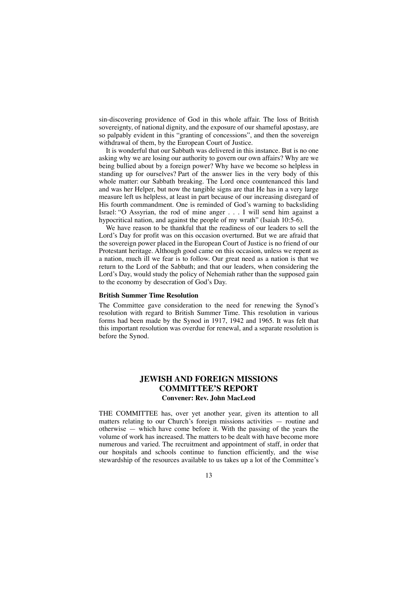sin-discovering providence of God in this whole affair. The loss of British sovereignty, of national dignity, and the exposure of our shameful apostasy, are so palpably evident in this "granting of concessions", and then the sovereign withdrawal of them, by the European Court of Justice.

It is wonderful that our Sabbath was delivered in this instance. But is no one asking why we are losing our authority to govern our own affairs? Why are we being bullied about by a foreign power? Why have we become so helpless in standing up for ourselves? Part of the answer lies in the very body of this whole matter: our Sabbath breaking. The Lord once countenanced this land and was her Helper, but now the tangible signs are that He has in a very large measure left us helpless, at least in part because of our increasing disregard of His fourth commandment. One is reminded of God's warning to backsliding Israel: "O Assyrian, the rod of mine anger . . . I will send him against a hypocritical nation, and against the people of my wrath" (Isaiah 10:5-6).

We have reason to be thankful that the readiness of our leaders to sell the Lord's Day for profit was on this occasion overturned. But we are afraid that the sovereign power placed in the European Court of Justice is no friend of our Protestant heritage. Although good came on this occasion, unless we repent as a nation, much ill we fear is to follow. Our great need as a nation is that we return to the Lord of the Sabbath; and that our leaders, when considering the Lord's Day, would study the policy of Nehemiah rather than the supposed gain to the economy by desecration of God's Day.

#### **British Summer Time Resolution**

The Committee gave consideration to the need for renewing the Synod's resolution with regard to British Summer Time. This resolution in various forms had been made by the Synod in 1917, 1942 and 1965. It was felt that this important resolution was overdue for renewal, and a separate resolution is before the Synod.

## **JEWISH AND FOREIGN MISSIONS COMMITTEE'S REPORT Convener: Rev. John MacLeod**

THE COMMITTEE has, over yet another year, given its attention to all matters relating to our Church's foreign missions activities — routine and otherwise — which have come before it. With the passing of the years the volume of work has increased. The matters to be dealt with have become more numerous and varied. The recruitment and appointment of staff, in order that our hospitals and schools continue to function efficiently, and the wise stewardship of the resources available to us takes up a lot of the Committee's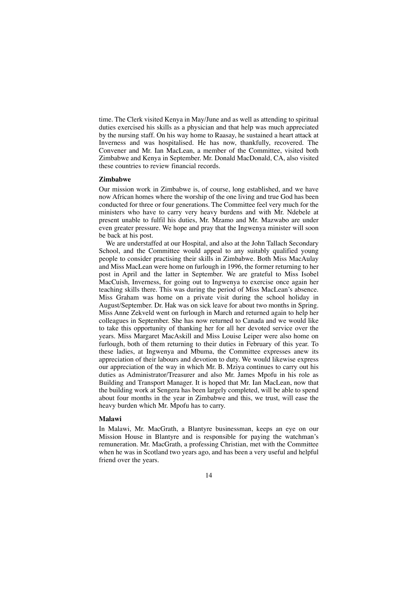time. The Clerk visited Kenya in May/June and as well as attending to spiritual duties exercised his skills as a physician and that help was much appreciated by the nursing staff. On his way home to Raasay, he sustained a heart attack at Inverness and was hospitalised. He has now, thankfully, recovered. The Convener and Mr. Ian MacLean, a member of the Committee, visited both Zimbabwe and Kenya in September. Mr. Donald MacDonald, CA, also visited these countries to review financial records.

#### **Zimbabwe**

Our mission work in Zimbabwe is, of course, long established, and we have now African homes where the worship of the one living and true God has been conducted for three or four generations. The Committee feel very much for the ministers who have to carry very heavy burdens and with Mr. Ndebele at present unable to fulfil his duties, Mr. Mzamo and Mr. Mazwabo are under even greater pressure. We hope and pray that the Ingwenya minister will soon be back at his post.

We are understaffed at our Hospital, and also at the John Tallach Secondary School, and the Committee would appeal to any suitably qualified young people to consider practising their skills in Zimbabwe. Both Miss MacAulay and Miss MacLean were home on furlough in 1996, the former returning to her post in April and the latter in September. We are grateful to Miss Isobel MacCuish, Inverness, for going out to Ingwenya to exercise once again her teaching skills there. This was during the period of Miss MacLean's absence. Miss Graham was home on a private visit during the school holiday in August/September. Dr. Hak was on sick leave for about two months in Spring. Miss Anne Zekveld went on furlough in March and returned again to help her colleagues in September. She has now returned to Canada and we would like to take this opportunity of thanking her for all her devoted service over the years. Miss Margaret MacAskill and Miss Louise Leiper were also home on furlough, both of them returning to their duties in February of this year. To these ladies, at Ingwenya and Mbuma, the Committee expresses anew its appreciation of their labours and devotion to duty. We would likewise express our appreciation of the way in which Mr. B. Mziya continues to carry out his duties as Administrator/Treasurer and also Mr. James Mpofu in his role as Building and Transport Manager. It is hoped that Mr. Ian MacLean, now that the building work at Sengera has been largely completed, will be able to spend about four months in the year in Zimbabwe and this, we trust, will ease the heavy burden which Mr. Mpofu has to carry.

#### **Malawi**

In Malawi, Mr. MacGrath, a Blantyre businessman, keeps an eye on our Mission House in Blantyre and is responsible for paying the watchman's remuneration. Mr. MacGrath, a professing Christian, met with the Committee when he was in Scotland two years ago, and has been a very useful and helpful friend over the years.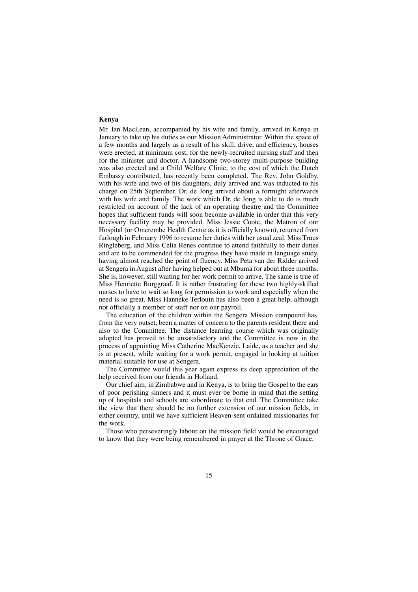#### **Kenya**

Mr. Ian MacLean, accompanied by his wife and family, arrived in Kenya in January to take up his duties as our Mission Administrator. Within the space of a few months and largely as a result of his skill, drive, and efficiency, houses were erected, at minimum cost, for the newly-recruited nursing staff and then for the minister and doctor. A handsome two-storey multi-purpose building was also erected and a Child Welfare Clinic, to the cost of which the Dutch Embassy contributed, has recently been completed. The Rev. John Goldby, with his wife and two of his daughters, duly arrived and was inducted to his charge on 25th September. Dr. de Jong arrived about a fortnight afterwards with his wife and family. The work which Dr. de Jong is able to do is much restricted on account of the lack of an operating theatre and the Committee hopes that sufficient funds will soon become available in order that this very necessary facility may be provided. Miss Jessie Coote, the Matron of our Hospital (or Omerembe Health Centre as it is officially known), returned from furlough in February 1996 to resume her duties with her usual zeal. Miss Truus Ringleberg, and Miss Celia Renes continue to attend faithfully to their duties and are to be commended for the progress they have made in language study, having almost reached the point of fluency. Miss Peta van der Ridder arrived at Sengera in August after having helped out at Mbuma for about three months. She is, however, still waiting for her work permit to arrive. The same is true of Miss Henriette Burggraaf. It is rather frustrating for these two highly-skilled nurses to have to wait so long for permission to work and especially when the need is so great. Miss Hanneke Terlouin has also been a great help, although not officially a member of staff nor on our payroll.

The education of the children within the Sengera Mission compound has, from the very outset, been a matter of concern to the parents resident there and also to the Committee. The distance learning course which was originally adopted has proved to be unsatisfactory and the Committee is now in the process of appointing Miss Catherine MacKenzie, Laide, as a teacher and she is at present, while waiting for a work permit, engaged in looking at tuition material suitable for use at Sengera.

The Committee would this year again express its deep appreciation of the help received from our friends in Holland.

Our chief aim, in Zimbabwe and in Kenya, is to bring the Gospel to the ears of poor perishing sinners and it must ever be borne in mind that the setting up of hospitals and schools are subordinate to that end. The Committee take the view that there should be no further extension of our mission fields, in either country, until we have sufficient Heaven-sent ordained missionaries for the work.

Those who perseveringly labour on the mission field would be encouraged to know that they were being remembered in prayer at the Throne of Grace.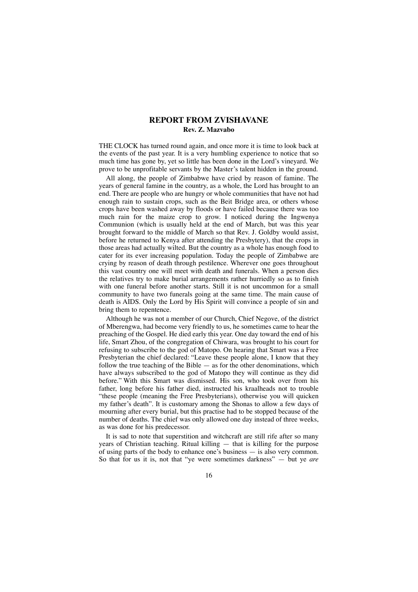## **REPORT FROM ZVISHAVANE Rev. Z. Mazvabo**

THE CLOCK has turned round again, and once more it is time to look back at the events of the past year. It is a very humbling experience to notice that so much time has gone by, yet so little has been done in the Lord's vineyard. We prove to be unprofitable servants by the Master's talent hidden in the ground.

All along, the people of Zimbabwe have cried by reason of famine. The years of general famine in the country, as a whole, the Lord has brought to an end. There are people who are hungry or whole communities that have not had enough rain to sustain crops, such as the Beit Bridge area, or others whose crops have been washed away by floods or have failed because there was too much rain for the maize crop to grow. I noticed during the Ingwenya Communion (which is usually held at the end of March, but was this year brought forward to the middle of March so that Rev. J. Goldby would assist, before he returned to Kenya after attending the Presbytery), that the crops in those areas had actually wilted. But the country as a whole has enough food to cater for its ever increasing population. Today the people of Zimbabwe are crying by reason of death through pestilence. Wherever one goes throughout this vast country one will meet with death and funerals. When a person dies the relatives try to make burial arrangements rather hurriedly so as to finish with one funeral before another starts. Still it is not uncommon for a small community to have two funerals going at the same time. The main cause of death is AIDS. Only the Lord by His Spirit will convince a people of sin and bring them to repentence.

Although he was not a member of our Church, Chief Negove, of the district of Mberengwa, had become very friendly to us, he sometimes came to hear the preaching of the Gospel. He died early this year. One day toward the end of his life, Smart Zhou, of the congregation of Chiwara, was brought to his court for refusing to subscribe to the god of Matopo. On hearing that Smart was a Free Presbyterian the chief declared: "Leave these people alone, I know that they follow the true teaching of the Bible  $-$  as for the other denominations, which have always subscribed to the god of Matopo they will continue as they did before." With this Smart was dismissed. His son, who took over from his father, long before his father died, instructed his kraalheads not to trouble "these people (meaning the Free Presbyterians), otherwise you will quicken my father's death". It is customary among the Shonas to allow a few days of mourning after every burial, but this practise had to be stopped because of the number of deaths. The chief was only allowed one day instead of three weeks, as was done for his predecessor.

It is sad to note that superstition and witchcraft are still rife after so many years of Christian teaching. Ritual killing — that is killing for the purpose of using parts of the body to enhance one's business — is also very common. So that for us it is, not that "ye were sometimes darkness" — but ye *are*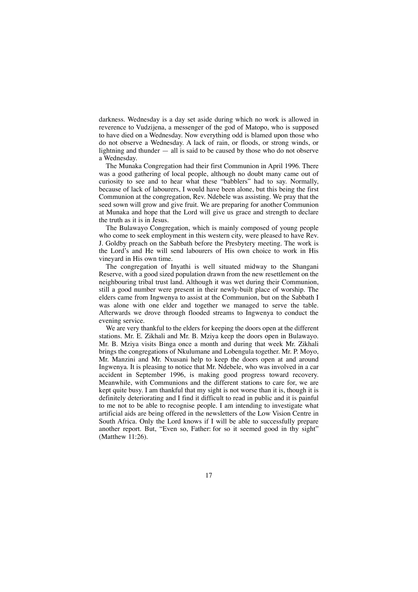darkness. Wednesday is a day set aside during which no work is allowed in reverence to Vudzijena, a messenger of the god of Matopo, who is supposed to have died on a Wednesday. Now everything odd is blamed upon those who do not observe a Wednesday. A lack of rain, or floods, or strong winds, or lightning and thunder  $-$  all is said to be caused by those who do not observe a Wednesday.

The Munaka Congregation had their first Communion in April 1996. There was a good gathering of local people, although no doubt many came out of curiosity to see and to hear what these "babblers" had to say. Normally, because of lack of labourers, I would have been alone, but this being the first Communion at the congregation, Rev. Ndebele was assisting. We pray that the seed sown will grow and give fruit. We are preparing for another Communion at Munaka and hope that the Lord will give us grace and strength to declare the truth as it is in Jesus.

The Bulawayo Congregation, which is mainly composed of young people who come to seek employment in this western city, were pleased to have Rev. J. Goldby preach on the Sabbath before the Presbytery meeting. The work is the Lord's and He will send labourers of His own choice to work in His vineyard in His own time.

The congregation of Inyathi is well situated midway to the Shangani Reserve, with a good sized population drawn from the new resettlement on the neighbouring tribal trust land. Although it was wet during their Communion, still a good number were present in their newly-built place of worship. The elders came from Ingwenya to assist at the Communion, but on the Sabbath I was alone with one elder and together we managed to serve the table. Afterwards we drove through flooded streams to Ingwenya to conduct the evening service.

We are very thankful to the elders for keeping the doors open at the different stations. Mr. E. Zikhali and Mr. B. Mziya keep the doors open in Bulawayo. Mr. B. Mziya visits Binga once a month and during that week Mr. Zikhali brings the congregations of Nkulumane and Lobengula together. Mr. P. Moyo, Mr. Manzini and Mr. Nxusani help to keep the doors open at and around Ingwenya. It is pleasing to notice that Mr. Ndebele, who was involved in a car accident in September 1996, is making good progress toward recovery. Meanwhile, with Communions and the different stations to care for, we are kept quite busy. I am thankful that my sight is not worse than it is, though it is definitely deteriorating and I find it difficult to read in public and it is painful to me not to be able to recognise people. I am intending to investigate what artificial aids are being offered in the newsletters of the Low Vision Centre in South Africa. Only the Lord knows if I will be able to successfully prepare another report. But, "Even so, Father: for so it seemed good in thy sight" (Matthew 11:26).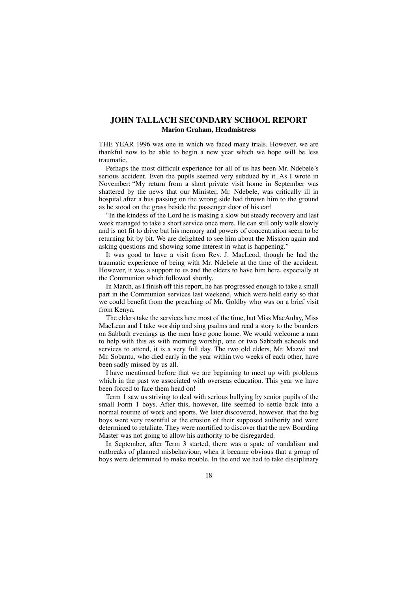## **JOHN TALLACH SECONDARY SCHOOL REPORT Marion Graham, Headmistress**

THE YEAR 1996 was one in which we faced many trials. However, we are thankful now to be able to begin a new year which we hope will be less traumatic.

Perhaps the most difficult experience for all of us has been Mr. Ndebele's serious accident. Even the pupils seemed very subdued by it. As I wrote in November: "My return from a short private visit home in September was shattered by the news that our Minister, Mr. Ndebele, was critically ill in hospital after a bus passing on the wrong side had thrown him to the ground as he stood on the grass beside the passenger door of his car!

"In the kindess of the Lord he is making a slow but steady recovery and last week managed to take a short service once more. He can still only walk slowly and is not fit to drive but his memory and powers of concentration seem to be returning bit by bit. We are delighted to see him about the Mission again and asking questions and showing some interest in what is happening."

It was good to have a visit from Rev. J. MacLeod, though he had the traumatic experience of being with Mr. Ndebele at the time of the accident. However, it was a support to us and the elders to have him here, especially at the Communion which followed shortly.

In March, as I finish off this report, he has progressed enough to take a small part in the Communion services last weekend, which were held early so that we could benefit from the preaching of Mr. Goldby who was on a brief visit from Kenya.

The elders take the services here most of the time, but Miss MacAulay, Miss MacLean and I take worship and sing psalms and read a story to the boarders on Sabbath evenings as the men have gone home. We would welcome a man to help with this as with morning worship, one or two Sabbath schools and services to attend, it is a very full day. The two old elders, Mr. Mazwi and Mr. Sobantu, who died early in the year within two weeks of each other, have been sadly missed by us all.

I have mentioned before that we are beginning to meet up with problems which in the past we associated with overseas education. This year we have been forced to face them head on!

Term 1 saw us striving to deal with serious bullying by senior pupils of the small Form 1 boys. After this, however, life seemed to settle back into a normal routine of work and sports. We later discovered, however, that the big boys were very resentful at the erosion of their supposed authority and were determined to retaliate. They were mortified to discover that the new Boarding Master was not going to allow his authority to be disregarded.

In September, after Term 3 started, there was a spate of vandalism and outbreaks of planned misbehaviour, when it became obvious that a group of boys were determined to make trouble. In the end we had to take disciplinary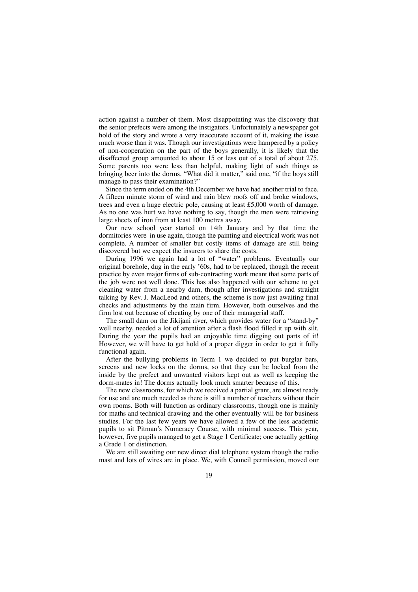action against a number of them. Most disappointing was the discovery that the senior prefects were among the instigators. Unfortunately a newspaper got hold of the story and wrote a very inaccurate account of it, making the issue much worse than it was. Though our investigations were hampered by a policy of non-cooperation on the part of the boys generally, it is likely that the disaffected group amounted to about 15 or less out of a total of about 275. Some parents too were less than helpful, making light of such things as bringing beer into the dorms. "What did it matter," said one, "if the boys still manage to pass their examination?"

Since the term ended on the 4th December we have had another trial to face. A fifteen minute storm of wind and rain blew roofs off and broke windows, trees and even a huge electric pole, causing at least £5,000 worth of damage. As no one was hurt we have nothing to say, though the men were retrieving large sheets of iron from at least 100 metres away.

Our new school year started on 14th January and by that time the dormitories were in use again, though the painting and electrical work was not complete. A number of smaller but costly items of damage are still being discovered but we expect the insurers to share the costs.

During 1996 we again had a lot of "water" problems. Eventually our original borehole, dug in the early '60s, had to be replaced, though the recent practice by even major firms of sub-contracting work meant that some parts of the job were not well done. This has also happened with our scheme to get cleaning water from a nearby dam, though after investigations and straight talking by Rev. J. MacLeod and others, the scheme is now just awaiting final checks and adjustments by the main firm. However, both ourselves and the firm lost out because of cheating by one of their managerial staff.

The small dam on the Jikijani river, which provides water for a "stand-by" well nearby, needed a lot of attention after a flash flood filled it up with silt. During the year the pupils had an enjoyable time digging out parts of it! However, we will have to get hold of a proper digger in order to get it fully functional again.

After the bullying problems in Term 1 we decided to put burglar bars, screens and new locks on the dorms, so that they can be locked from the inside by the prefect and unwanted visitors kept out as well as keeping the dorm-mates in! The dorms actually look much smarter because of this.

The new classrooms, for which we received a partial grant, are almost ready for use and are much needed as there is still a number of teachers without their own rooms. Both will function as ordinary classrooms, though one is mainly for maths and technical drawing and the other eventually will be for business studies. For the last few years we have allowed a few of the less academic pupils to sit Pitman's Numeracy Course, with minimal success. This year, however, five pupils managed to get a Stage 1 Certificate; one actually getting a Grade 1 or distinction.

We are still awaiting our new direct dial telephone system though the radio mast and lots of wires are in place. We, with Council permission, moved our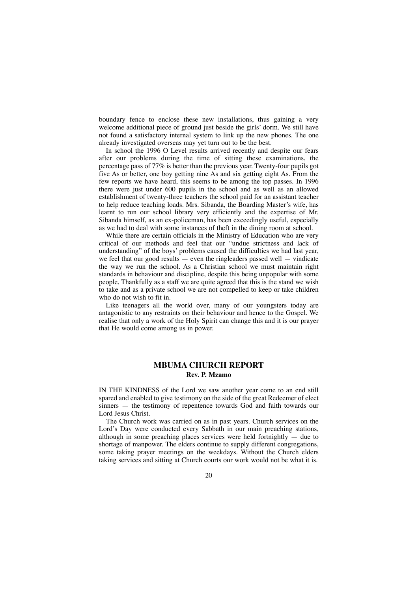boundary fence to enclose these new installations, thus gaining a very welcome additional piece of ground just beside the girls' dorm. We still have not found a satisfactory internal system to link up the new phones. The one already investigated overseas may yet turn out to be the best.

In school the 1996 O Level results arrived recently and despite our fears after our problems during the time of sitting these examinations, the percentage pass of 77% is better than the previous year. Twenty-four pupils got five As or better, one boy getting nine As and six getting eight As. From the few reports we have heard, this seems to be among the top passes. In 1996 there were just under 600 pupils in the school and as well as an allowed establishment of twenty-three teachers the school paid for an assistant teacher to help reduce teaching loads. Mrs. Sibanda, the Boarding Master's wife, has learnt to run our school library very efficiently and the expertise of Mr. Sibanda himself, as an ex-policeman, has been exceedingly useful, especially as we had to deal with some instances of theft in the dining room at school.

While there are certain officials in the Ministry of Education who are very critical of our methods and feel that our "undue strictness and lack of understanding" of the boys' problems caused the difficulties we had last year, we feel that our good results  $-$  even the ringleaders passed well  $-$  vindicate the way we run the school. As a Christian school we must maintain right standards in behaviour and discipline, despite this being unpopular with some people. Thankfully as a staff we are quite agreed that this is the stand we wish to take and as a private school we are not compelled to keep or take children who do not wish to fit in.

Like teenagers all the world over, many of our youngsters today are antagonistic to any restraints on their behaviour and hence to the Gospel. We realise that only a work of the Holy Spirit can change this and it is our prayer that He would come among us in power.

## **MBUMA CHURCH REPORT Rev. P. Mzamo**

IN THE KINDNESS of the Lord we saw another year come to an end still spared and enabled to give testimony on the side of the great Redeemer of elect sinners — the testimony of repentence towards God and faith towards our Lord Jesus Christ.

The Church work was carried on as in past years. Church services on the Lord's Day were conducted every Sabbath in our main preaching stations, although in some preaching places services were held fortnightly — due to shortage of manpower. The elders continue to supply different congregations, some taking prayer meetings on the weekdays. Without the Church elders taking services and sitting at Church courts our work would not be what it is.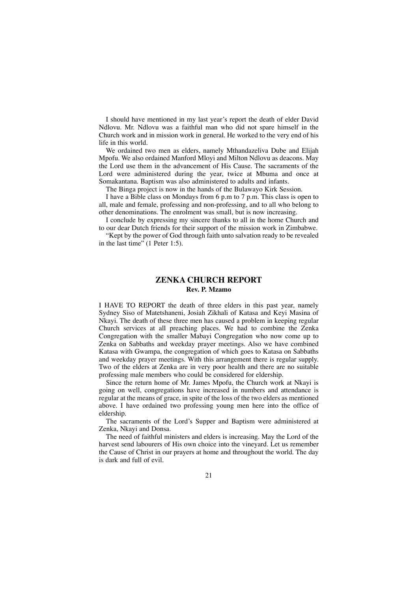I should have mentioned in my last year's report the death of elder David Ndlovu. Mr. Ndlovu was a faithful man who did not spare himself in the Church work and in mission work in general. He worked to the very end of his life in this world.

We ordained two men as elders, namely Mthandazeliva Dube and Elijah Mpofu. We also ordained Manford Mloyi and Milton Ndlovu as deacons. May the Lord use them in the advancement of His Cause. The sacraments of the Lord were administered during the year, twice at Mbuma and once at Somakantana. Baptism was also administered to adults and infants.

The Binga project is now in the hands of the Bulawayo Kirk Session.

I have a Bible class on Mondays from 6 p.m to 7 p.m. This class is open to all, male and female, professing and non-professing, and to all who belong to other denominations. The enrolment was small, but is now increasing.

I conclude by expressing my sincere thanks to all in the home Church and to our dear Dutch friends for their support of the mission work in Zimbabwe.

"Kept by the power of God through faith unto salvation ready to be revealed in the last time" (1 Peter 1:5).

## **ZENKA CHURCH REPORT Rev. P. Mzamo**

I HAVE TO REPORT the death of three elders in this past year, namely Sydney Siso of Matetshaneni, Josiah Zikhali of Katasa and Keyi Masina of Nkayi. The death of these three men has caused a problem in keeping regular Church services at all preaching places. We had to combine the Zenka Congregation with the smaller Mabayi Congregation who now come up to Zenka on Sabbaths and weekday prayer meetings. Also we have combined Katasa with Gwampa, the congregation of which goes to Katasa on Sabbaths and weekday prayer meetings. With this arrangement there is regular supply. Two of the elders at Zenka are in very poor health and there are no suitable professing male members who could be considered for eldership.

Since the return home of Mr. James Mpofu, the Church work at Nkayi is going on well, congregations have increased in numbers and attendance is regular at the means of grace, in spite of the loss of the two elders as mentioned above. I have ordained two professing young men here into the office of eldership.

The sacraments of the Lord's Supper and Baptism were administered at Zenka, Nkayi and Donsa.

The need of faithful ministers and elders is increasing. May the Lord of the harvest send labourers of His own choice into the vineyard. Let us remember the Cause of Christ in our prayers at home and throughout the world. The day is dark and full of evil.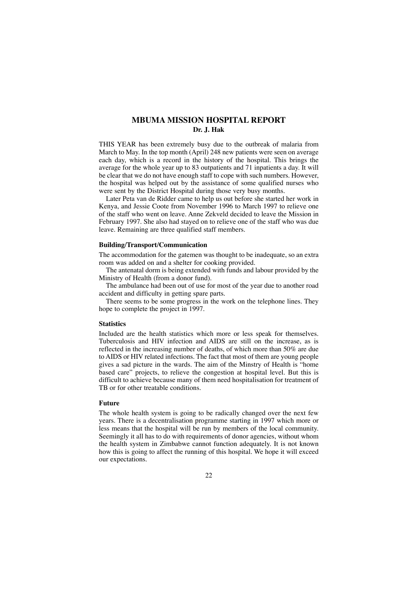## **MBUMA MISSION HOSPITAL REPORT Dr. J. Hak**

THIS YEAR has been extremely busy due to the outbreak of malaria from March to May. In the top month (April) 248 new patients were seen on average each day, which is a record in the history of the hospital. This brings the average for the whole year up to 83 outpatients and 71 inpatients a day. It will be clear that we do not have enough staff to cope with such numbers. However, the hospital was helped out by the assistance of some qualified nurses who were sent by the District Hospital during those very busy months.

Later Peta van de Ridder came to help us out before she started her work in Kenya, and Jessie Coote from November 1996 to March 1997 to relieve one of the staff who went on leave. Anne Zekveld decided to leave the Mission in February 1997. She also had stayed on to relieve one of the staff who was due leave. Remaining are three qualified staff members.

#### **Building/Transport/Communication**

The accommodation for the gatemen was thought to be inadequate, so an extra room was added on and a shelter for cooking provided.

The antenatal dorm is being extended with funds and labour provided by the Ministry of Health (from a donor fund).

The ambulance had been out of use for most of the year due to another road accident and difficulty in getting spare parts.

There seems to be some progress in the work on the telephone lines. They hope to complete the project in 1997.

#### **Statistics**

Included are the health statistics which more or less speak for themselves. Tuberculosis and HIV infection and AIDS are still on the increase, as is reflected in the increasing number of deaths, of which more than 50% are due to AIDS or HIV related infections. The fact that most of them are young people gives a sad picture in the wards. The aim of the Minstry of Health is "home based care" projects, to relieve the congestion at hospital level. But this is difficult to achieve because many of them need hospitalisation for treatment of TB or for other treatable conditions.

#### **Future**

The whole health system is going to be radically changed over the next few years. There is a decentralisation programme starting in 1997 which more or less means that the hospital will be run by members of the local community. Seemingly it all has to do with requirements of donor agencies, without whom the health system in Zimbabwe cannot function adequately. It is not known how this is going to affect the running of this hospital. We hope it will exceed our expectations.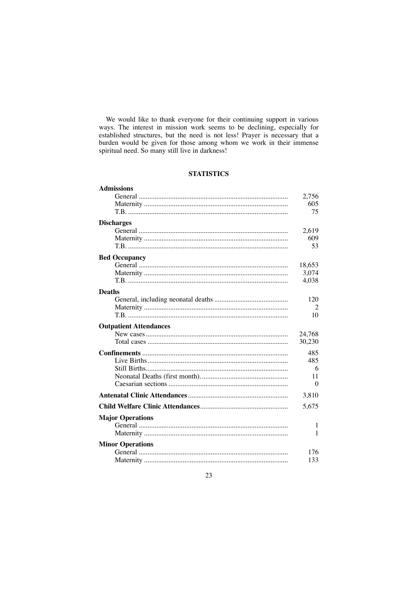We would like to thank everyone for their continuing support in various ways. The interest in mission work seems to be declining, especially for extrablished structures, but the need is not less! Prayer is necessary that a burden would be given for those among whom we work in their immense spiritual need. So many still live in darkness!

## **STATISTICS**

| <b>Admissions</b>             |                |
|-------------------------------|----------------|
|                               | 2,756          |
|                               | 605            |
|                               | 75             |
| <b>Discharges</b>             |                |
|                               | 2,619          |
|                               | 609            |
|                               | 53             |
| <b>Bed Occupancy</b>          |                |
|                               | 18,653         |
|                               | 3,074          |
|                               | 4.038          |
| <b>Deaths</b>                 |                |
|                               | 120            |
|                               | $\overline{2}$ |
|                               | 10             |
| <b>Outpatient Attendances</b> |                |
|                               | 24,768         |
|                               | 30,230         |
|                               | 485            |
|                               | 485            |
|                               | 6              |
|                               | 11             |
|                               | $\Omega$       |
|                               | 3,810          |
|                               | 5,675          |
| <b>Major Operations</b>       |                |
|                               | 1              |
|                               | 1              |
| <b>Minor Operations</b>       |                |
|                               | 176            |
|                               | 133            |
|                               |                |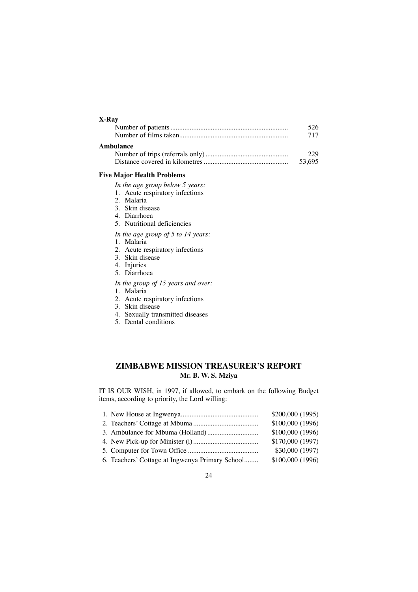|           | 526    |
|-----------|--------|
|           | 717    |
| Ambulance |        |
|           | າາ໑    |
|           | 53.695 |

#### **Five Major Health Problems**

*In the age group below 5 years:*

- 1. Acute respiratory infections
- 2. Malaria
- 3. Skin disease
- 4. Diarrhoea
- 5. Nutritional deficiencies
- *In the age group of 5 to 14 years:*
- 1. Malaria
- 2. Acute respiratory infections
- 3. Skin disease
- 4. Injuries
- 5. Diarrhoea
- *In the group of 15 years and over:*
- 1. Malaria
- 2. Acute respiratory infections
- 3. Skin disease
- 4. Sexually transmitted diseases
- 5. Dental conditions

## **ZIMBABWE MISSION TREASURER'S REPORT Mr. B. W. S. Mziya**

IT IS OUR WISH, in 1997, if allowed, to embark on the following Budget items, according to priority, the Lord willing:

|                                                 | \$200,000(1995) |
|-------------------------------------------------|-----------------|
|                                                 | \$100,000(1996) |
|                                                 | \$100,000(1996) |
|                                                 | \$170,000(1997) |
|                                                 | \$30,000(1997)  |
| 6. Teachers' Cottage at Ingwenya Primary School | \$100,000(1996) |
|                                                 |                 |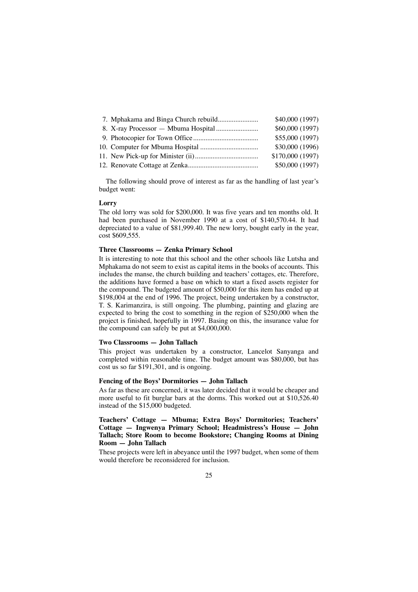|  | \$40,000 (1997)  |
|--|------------------|
|  | \$60,000 (1997)  |
|  | \$55,000 (1997)  |
|  | \$30,000 (1996)  |
|  | \$170,000 (1997) |
|  | \$50,000 (1997)  |

The following should prove of interest as far as the handling of last year's budget went:

#### **Lorry**

The old lorry was sold for \$200,000. It was five years and ten months old. It had been purchased in November 1990 at a cost of \$140,570.44. It had depreciated to a value of \$81,999.40. The new lorry, bought early in the year, cost \$609,555.

### **Three Classrooms — Zenka Primary School**

It is interesting to note that this school and the other schools like Lutsha and Mphakama do not seem to exist as capital items in the books of accounts. This includes the manse, the church building and teachers' cottages, etc. Therefore, the additions have formed a base on which to start a fixed assets register for the compound. The budgeted amount of \$50,000 for this item has ended up at \$198,004 at the end of 1996. The project, being undertaken by a constructor, T. S. Karimanzira, is still ongoing. The plumbing, painting and glazing are expected to bring the cost to something in the region of \$250,000 when the project is finished, hopefully in 1997. Basing on this, the insurance value for the compound can safely be put at \$4,000,000.

#### **Two Classrooms — John Tallach**

This project was undertaken by a constructor, Lancelot Sanyanga and completed within reasonable time. The budget amount was \$80,000, but has cost us so far \$191,301, and is ongoing.

## **Fencing of the Boys' Dormitories — John Tallach**

As far as these are concerned, it was later decided that it would be cheaper and more useful to fit burglar bars at the dorms. This worked out at \$10,526.40 instead of the \$15,000 budgeted.

**Teachers' Cottage — Mbuma; Extra Boys' Dormitories; Teachers' Cottage — Ingwenya Primary School; Headmistress's House — John Tallach; Store Room to become Bookstore; Changing Rooms at Dining Room — John Tallach**

These projects were left in abeyance until the 1997 budget, when some of them would therefore be reconsidered for inclusion.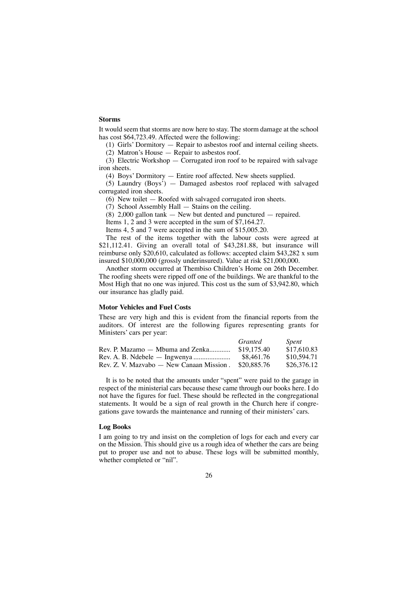## **Storms**

It would seem that storms are now here to stay. The storm damage at the school has cost \$64,723.49. Affected were the following:

(1) Girls' Dormitory — Repair to asbestos roof and internal ceiling sheets.

 $(2)$  Matron's House — Repair to asbestos roof.

(3) Electric Workshop — Corrugated iron roof to be repaired with salvage iron sheets.

(4) Boys' Dormitory — Entire roof affected. New sheets supplied.

(5) Laundry (Boys') — Damaged asbestos roof replaced with salvaged corrugated iron sheets.

(6) New toilet — Roofed with salvaged corrugated iron sheets.

(7) School Assembly Hall — Stains on the ceiling.

(8) 2,000 gallon tank — New but dented and punctured — repaired.

Items 1, 2 and 3 were accepted in the sum of \$7,164.27.

Items 4, 5 and 7 were accepted in the sum of \$15,005.20.

The rest of the items together with the labour costs were agreed at \$21,112.41. Giving an overall total of \$43,281.88, but insurance will reimburse only \$20,610, calculated as follows: accepted claim \$43,282 x sum insured \$10,000,000 (grossly underinsured). Value at risk \$21,000,000.

Another storm occurred at Thembiso Children's Home on 26th December. The roofing sheets were ripped off one of the buildings. We are thankful to the Most High that no one was injured. This cost us the sum of \$3,942.80, which our insurance has gladly paid.

#### **Motor Vehicles and Fuel Costs**

These are very high and this is evident from the financial reports from the auditors. Of interest are the following figures representing grants for Ministers' cars per year:

|                                           | Granted     | <i>Spent</i> |
|-------------------------------------------|-------------|--------------|
| Rev. P. Mazamo — Mbuma and Zenka          | \$19,175.40 | \$17,610.83  |
| $Rev. A. B. Ndebele - Ingwenya … … … … …$ | \$8,461.76  | \$10,594.71  |
| Rev. Z. V. Mazvabo — New Canaan Mission.  | \$20.885.76 | \$26,376.12  |

It is to be noted that the amounts under "spent" were paid to the garage in respect of the ministerial cars because these came through our books here. I do not have the figures for fuel. These should be reflected in the congregational statements. It would be a sign of real growth in the Church here if congregations gave towards the maintenance and running of their ministers' cars.

#### **Log Books**

I am going to try and insist on the completion of logs for each and every car on the Mission. This should give us a rough idea of whether the cars are being put to proper use and not to abuse. These logs will be submitted monthly, whether completed or "nil".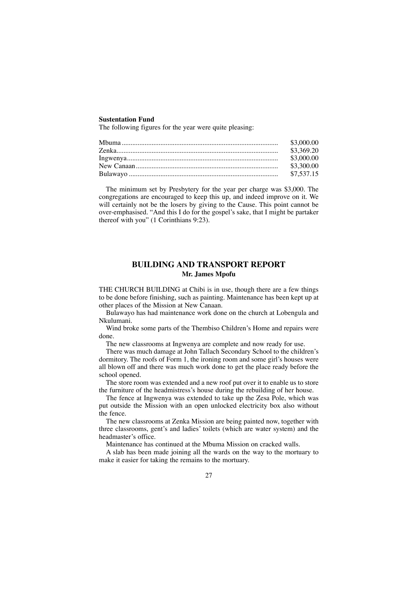### **Sustentation Fund**

The following figures for the year were quite pleasing:

The minimum set by Presbytery for the year per charge was \$3,000. The congregations are encouraged to keep this up, and indeed improve on it. We will certainly not be the losers by giving to the Cause. This point cannot be over-emphasised. "And this I do for the gospel's sake, that I might be partaker thereof with you" (1 Corinthians 9:23).

## **BUILDING AND TRANSPORT REPORT Mr. James Mpofu**

THE CHURCH BUILDING at Chibi is in use, though there are a few things to be done before finishing, such as painting. Maintenance has been kept up at other places of the Mission at New Canaan.

Bulawayo has had maintenance work done on the church at Lobengula and Nkulumani.

Wind broke some parts of the Thembiso Children's Home and repairs were done.

The new classrooms at Ingwenya are complete and now ready for use.

There was much damage at John Tallach Secondary School to the children's dormitory. The roofs of Form 1, the ironing room and some girl's houses were all blown off and there was much work done to get the place ready before the school opened.

The store room was extended and a new roof put over it to enable us to store the furniture of the headmistress's house during the rebuilding of her house.

The fence at Ingwenya was extended to take up the Zesa Pole, which was put outside the Mission with an open unlocked electricity box also without the fence.

The new classrooms at Zenka Mission are being painted now, together with three classrooms, gent's and ladies' toilets (which are water system) and the headmaster's office.

Maintenance has continued at the Mbuma Mission on cracked walls.

A slab has been made joining all the wards on the way to the mortuary to make it easier for taking the remains to the mortuary.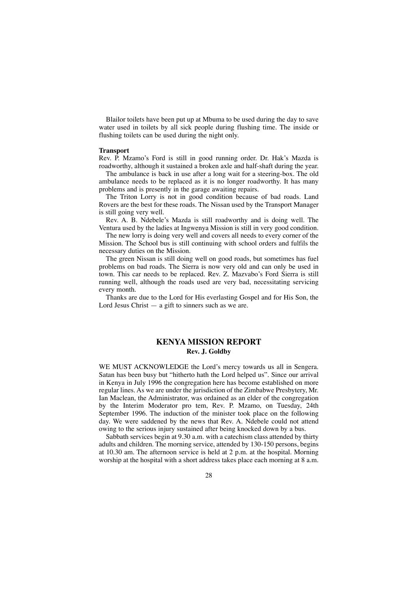Blailor toilets have been put up at Mbuma to be used during the day to save water used in toilets by all sick people during flushing time. The inside or flushing toilets can be used during the night only.

#### **Transport**

Rev. P. Mzamo's Ford is still in good running order. Dr. Hak's Mazda is roadworthy, although it sustained a broken axle and half-shaft during the year.

The ambulance is back in use after a long wait for a steering-box. The old ambulance needs to be replaced as it is no longer roadworthy. It has many problems and is presently in the garage awaiting repairs.

The Triton Lorry is not in good condition because of bad roads. Land Rovers are the best for these roads. The Nissan used by the Transport Manager is still going very well.

Rev. A. B. Ndebele's Mazda is still roadworthy and is doing well. The Ventura used by the ladies at Ingwenya Mission is still in very good condition.

The new lorry is doing very well and covers all needs to every corner of the Mission. The School bus is still continuing with school orders and fulfils the necessary duties on the Mission.

The green Nissan is still doing well on good roads, but sometimes has fuel problems on bad roads. The Sierra is now very old and can only be used in town. This car needs to be replaced. Rev. Z. Mazvabo's Ford Sierra is still running well, although the roads used are very bad, necessitating servicing every month.

Thanks are due to the Lord for His everlasting Gospel and for His Son, the Lord Jesus Christ  $-$  a gift to sinners such as we are.

## **KENYA MISSION REPORT Rev. J. Goldby**

WE MUST ACKNOWLEDGE the Lord's mercy towards us all in Sengera. Satan has been busy but "hitherto hath the Lord helped us". Since our arrival in Kenya in July 1996 the congregation here has become established on more regular lines. As we are under the jurisdiction of the Zimbabwe Presbytery, Mr. Ian Maclean, the Administrator, was ordained as an elder of the congregation by the Interim Moderator pro tem, Rev. P. Mzamo, on Tuesday, 24th September 1996. The induction of the minister took place on the following day. We were saddened by the news that Rev. A. Ndebele could not attend owing to the serious injury sustained after being knocked down by a bus.

Sabbath services begin at 9.30 a.m. with a catechism class attended by thirty adults and children. The morning service, attended by 130-150 persons, begins at 10.30 am. The afternoon service is held at 2 p.m. at the hospital. Morning worship at the hospital with a short address takes place each morning at 8 a.m.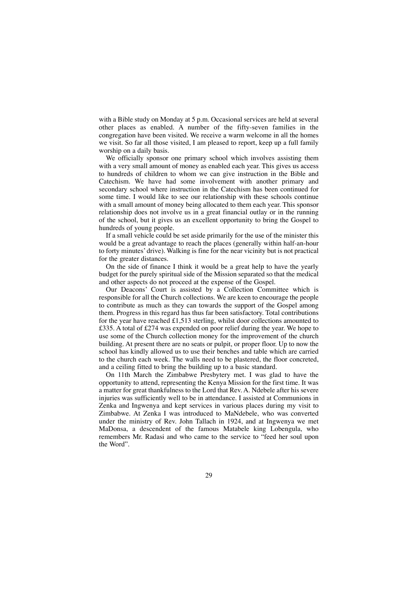with a Bible study on Monday at 5 p.m. Occasional services are held at several other places as enabled. A number of the fifty-seven families in the congregation have been visited. We receive a warm welcome in all the homes we visit. So far all those visited, I am pleased to report, keep up a full family worship on a daily basis.

We officially sponsor one primary school which involves assisting them with a very small amount of money as enabled each year. This gives us access to hundreds of children to whom we can give instruction in the Bible and Catechism. We have had some involvement with another primary and secondary school where instruction in the Catechism has been continued for some time. I would like to see our relationship with these schools continue with a small amount of money being allocated to them each year. This sponsor relationship does not involve us in a great financial outlay or in the running of the school, but it gives us an excellent opportunity to bring the Gospel to hundreds of young people.

If a small vehicle could be set aside primarily for the use of the minister this would be a great advantage to reach the places (generally within half-an-hour to forty minutes' drive). Walking is fine for the near vicinity but is not practical for the greater distances.

On the side of finance I think it would be a great help to have the yearly budget for the purely spiritual side of the Mission separated so that the medical and other aspects do not proceed at the expense of the Gospel.

Our Deacons' Court is assisted by a Collection Committee which is responsible for all the Church collections. We are keen to encourage the people to contribute as much as they can towards the support of the Gospel among them. Progress in this regard has thus far been satisfactory. Total contributions for the year have reached £1,513 sterling, whilst door collections amounted to £335. A total of £274 was expended on poor relief during the year. We hope to use some of the Church collection money for the improvement of the church building. At present there are no seats or pulpit, or proper floor. Up to now the school has kindly allowed us to use their benches and table which are carried to the church each week. The walls need to be plastered, the floor concreted, and a ceiling fitted to bring the building up to a basic standard.

On 11th March the Zimbabwe Presbytery met. I was glad to have the opportunity to attend, representing the Kenya Mission for the first time. It was a matter for great thankfulness to the Lord that Rev. A. Ndebele after his severe injuries was sufficiently well to be in attendance. I assisted at Communions in Zenka and Ingwenya and kept services in various places during my visit to Zimbabwe. At Zenka I was introduced to MaNdebele, who was converted under the ministry of Rev. John Tallach in 1924, and at Ingwenya we met MaDonsa, a descendent of the famous Matabele king Lobengula, who remembers Mr. Radasi and who came to the service to "feed her soul upon the Word".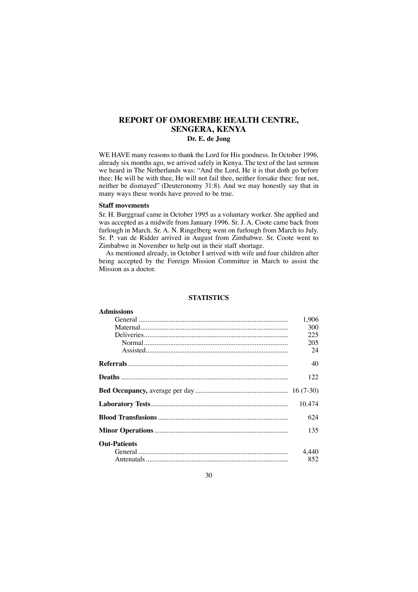## **REPORT OF OMOREMBE HEALTH CENTRE, SENGERA, KENYA**

## **Dr. E. de Jong**

WE HAVE many reasons to thank the Lord for His goodness. In October 1996, already six months ago, we arrived safely in Kenya. The text of the last sermon we heard in The Netherlands was: "And the Lord, He it is that doth go before thee; He will be with thee, He will not fail thee, neither forsake thee: fear not, neither be dismayed" (Deuteronomy 31:8). And we may honestly say that in many ways these words have proved to be true.

#### **Staff movements**

Sr. H. Burggraaf came in October 1995 as a voluntary worker. She applied and was accepted as a midwife from January 1996. Sr. J. A. Coote came back from furlough in March. Sr. A. N. Ringelberg went on furlough from March to July. Sr. P. van de Ridder arrived in August from Zimbabwe. Sr. Coote went to Zimbabwe in November to help out in their staff shortage.

As mentioned already, in October I arrived with wife and four children after being accepted by the Foreign Mission Committee in March to assist the Mission as a doctor.

#### **STATISTICS**

## **Admissions** General ..................................................................................... 1,906 Maternal.................................................................................... 300 Deliveries.................................................................................. 225 Normal.................................................................................. 205 Assisted................................................................................. 24 **Referrals**........................................................................................... 40 **Deaths** ............................................................................................... 122 **Bed Occupancy,** average per day..................................................... 16 (7-30) **Laboratory Tests**.............................................................................. 10.474 **Blood Transfusions**.......................................................................... 624 **Minor Operations**............................................................................ 135 **Out-Patients** General ..................................................................................... 4,440 Antenatals................................................................................. 852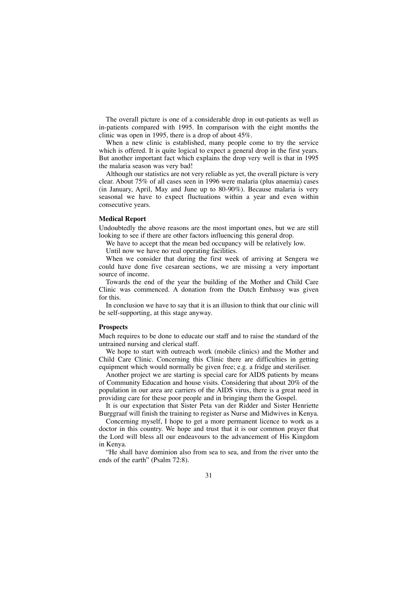The overall picture is one of a considerable drop in out-patients as well as in-patients compared with 1995. In comparison with the eight months the clinic was open in 1995, there is a drop of about 45%.

When a new clinic is established, many people come to try the service which is offered. It is quite logical to expect a general drop in the first years. But another important fact which explains the drop very well is that in 1995 the malaria season was very bad!

Although our statistics are not very reliable as yet, the overall picture is very clear. About 75% of all cases seen in 1996 were malaria (plus anaemia) cases (in January, April, May and June up to 80-90%). Because malaria is very seasonal we have to expect fluctuations within a year and even within consecutive years.

#### **Medical Report**

Undoubtedly the above reasons are the most important ones, but we are still looking to see if there are other factors influencing this general drop.

We have to accept that the mean bed occupancy will be relatively low.

Until now we have no real operating facilities.

When we consider that during the first week of arriving at Sengera we could have done five cesarean sections, we are missing a very important source of income.

Towards the end of the year the building of the Mother and Child Care Clinic was commenced. A donation from the Dutch Embassy was given for this.

In conclusion we have to say that it is an illusion to think that our clinic will be self-supporting, at this stage anyway.

#### **Prospects**

Much requires to be done to educate our staff and to raise the standard of the untrained nursing and clerical staff.

We hope to start with outreach work (mobile clinics) and the Mother and Child Care Clinic. Concerning this Clinic there are difficulties in getting equipment which would normally be given free; e.g. a fridge and steriliser.

Another project we are starting is special care for AIDS patients by means of Community Education and house visits. Considering that about 20% of the population in our area are carriers of the AIDS virus, there is a great need in providing care for these poor people and in bringing them the Gospel.

It is our expectation that Sister Peta van der Ridder and Sister Henriette Burggraaf will finish the training to register as Nurse and Midwives in Kenya.

Concerning myself, I hope to get a more permanent licence to work as a doctor in this country. We hope and trust that it is our common prayer that the Lord will bless all our endeavours to the advancement of His Kingdom in Kenya.

"He shall have dominion also from sea to sea, and from the river unto the ends of the earth" (Psalm 72:8).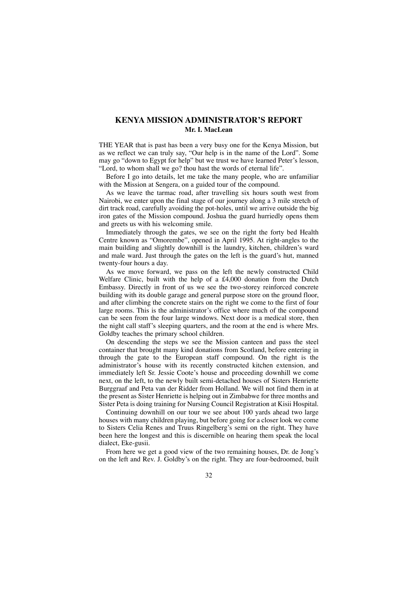## **KENYA MISSION ADMINISTRATOR'S REPORT Mr. I. MacLean**

THE YEAR that is past has been a very busy one for the Kenya Mission, but as we reflect we can truly say, "Our help is in the name of the Lord". Some may go "down to Egypt for help" but we trust we have learned Peter's lesson, "Lord, to whom shall we go? thou hast the words of eternal life".

Before I go into details, let me take the many people, who are unfamiliar with the Mission at Sengera, on a guided tour of the compound.

As we leave the tarmac road, after travelling six hours south west from Nairobi, we enter upon the final stage of our journey along a 3 mile stretch of dirt track road, carefully avoiding the pot-holes, until we arrive outside the big iron gates of the Mission compound. Joshua the guard hurriedly opens them and greets us with his welcoming smile.

Immediately through the gates, we see on the right the forty bed Health Centre known as "Omorembe", opened in April 1995. At right-angles to the main building and slightly downhill is the laundry, kitchen, children's ward and male ward. Just through the gates on the left is the guard's hut, manned twenty-four hours a day.

As we move forward, we pass on the left the newly constructed Child Welfare Clinic, built with the help of a £4,000 donation from the Dutch Embassy. Directly in front of us we see the two-storey reinforced concrete building with its double garage and general purpose store on the ground floor, and after climbing the concrete stairs on the right we come to the first of four large rooms. This is the administrator's office where much of the compound can be seen from the four large windows. Next door is a medical store, then the night call staff's sleeping quarters, and the room at the end is where Mrs. Goldby teaches the primary school children.

On descending the steps we see the Mission canteen and pass the steel container that brought many kind donations from Scotland, before entering in through the gate to the European staff compound. On the right is the administrator's house with its recently constructed kitchen extension, and immediately left Sr. Jessie Coote's house and proceeding downhill we come next, on the left, to the newly built semi-detached houses of Sisters Henriette Burggraaf and Peta van der Ridder from Holland. We will not find them in at the present as Sister Henriette is helping out in Zimbabwe for three months and Sister Peta is doing training for Nursing Council Registration at Kisii Hospital.

Continuing downhill on our tour we see about 100 yards ahead two large houses with many children playing, but before going for a closer look we come to Sisters Celia Renes and Truus Ringelberg's semi on the right. They have been here the longest and this is discernible on hearing them speak the local dialect, Eke-gusii.

From here we get a good view of the two remaining houses, Dr. de Jong's on the left and Rev. J. Goldby's on the right. They are four-bedroomed, built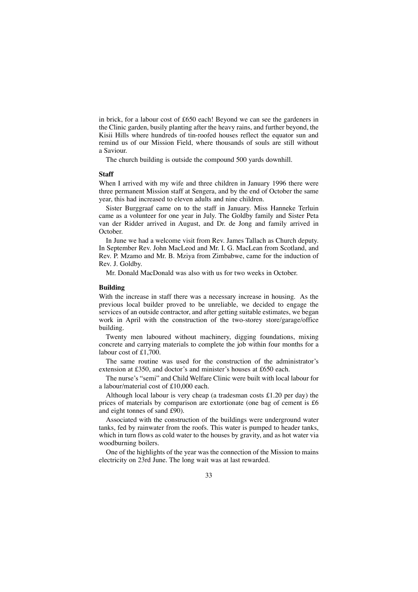in brick, for a labour cost of £650 each! Beyond we can see the gardeners in the Clinic garden, busily planting after the heavy rains, and further beyond, the Kisii Hills where hundreds of tin-roofed houses reflect the equator sun and remind us of our Mission Field, where thousands of souls are still without a Saviour.

The church building is outside the compound 500 yards downhill.

#### **Staff**

When I arrived with my wife and three children in January 1996 there were three permanent Mission staff at Sengera, and by the end of October the same year, this had increased to eleven adults and nine children.

Sister Burggraaf came on to the staff in January. Miss Hanneke Terluin came as a volunteer for one year in July. The Goldby family and Sister Peta van der Ridder arrived in August, and Dr. de Jong and family arrived in October.

In June we had a welcome visit from Rev. James Tallach as Church deputy. In September Rev. John MacLeod and Mr. I. G. MacLean from Scotland, and Rev. P. Mzamo and Mr. B. Mziya from Zimbabwe, came for the induction of Rev. J. Goldby.

Mr. Donald MacDonald was also with us for two weeks in October.

#### **Building**

With the increase in staff there was a necessary increase in housing. As the previous local builder proved to be unreliable, we decided to engage the services of an outside contractor, and after getting suitable estimates, we began work in April with the construction of the two-storey store/garage/office building.

Twenty men laboured without machinery, digging foundations, mixing concrete and carrying materials to complete the job within four months for a labour cost of £1,700.

The same routine was used for the construction of the administrator's extension at £350, and doctor's and minister's houses at £650 each.

The nurse's "semi" and Child Welfare Clinic were built with local labour for a labour/material cost of £10,000 each.

Although local labour is very cheap (a tradesman costs £1.20 per day) the prices of materials by comparison are extortionate (one bag of cement is £6 and eight tonnes of sand £90).

Associated with the construction of the buildings were underground water tanks, fed by rainwater from the roofs. This water is pumped to header tanks, which in turn flows as cold water to the houses by gravity, and as hot water via woodburning boilers.

One of the highlights of the year was the connection of the Mission to mains electricity on 23rd June. The long wait was at last rewarded.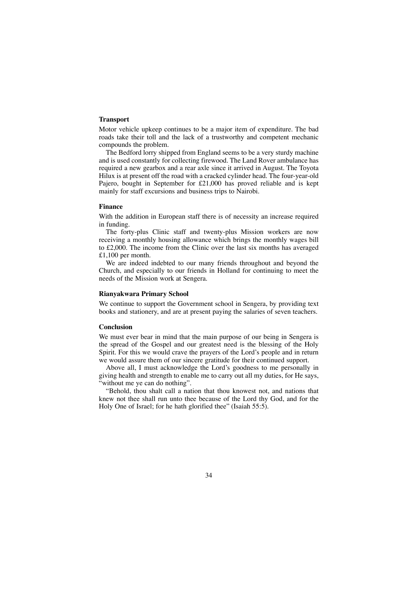### **Transport**

Motor vehicle upkeep continues to be a major item of expenditure. The bad roads take their toll and the lack of a trustworthy and competent mechanic compounds the problem.

The Bedford lorry shipped from England seems to be a very sturdy machine and is used constantly for collecting firewood. The Land Rover ambulance has required a new gearbox and a rear axle since it arrived in August. The Toyota Hilux is at present off the road with a cracked cylinder head. The four-year-old Pajero, bought in September for £21,000 has proved reliable and is kept mainly for staff excursions and business trips to Nairobi.

#### **Finance**

With the addition in European staff there is of necessity an increase required in funding.

The forty-plus Clinic staff and twenty-plus Mission workers are now receiving a monthly housing allowance which brings the monthly wages bill to £2,000. The income from the Clinic over the last six months has averaged £1,100 per month.

We are indeed indebted to our many friends throughout and beyond the Church, and especially to our friends in Holland for continuing to meet the needs of the Mission work at Sengera.

#### **Rianyakwara Primary School**

We continue to support the Government school in Sengera, by providing text books and stationery, and are at present paying the salaries of seven teachers.

#### **Conclusion**

We must ever bear in mind that the main purpose of our being in Sengera is the spread of the Gospel and our greatest need is the blessing of the Holy Spirit. For this we would crave the prayers of the Lord's people and in return we would assure them of our sincere gratitude for their continued support.

Above all, I must acknowledge the Lord's goodness to me personally in giving health and strength to enable me to carry out all my duties, for He says, without me ye can do nothing".

"Behold, thou shalt call a nation that thou knowest not, and nations that knew not thee shall run unto thee because of the Lord thy God, and for the Holy One of Israel; for he hath glorified thee" (Isaiah 55:5).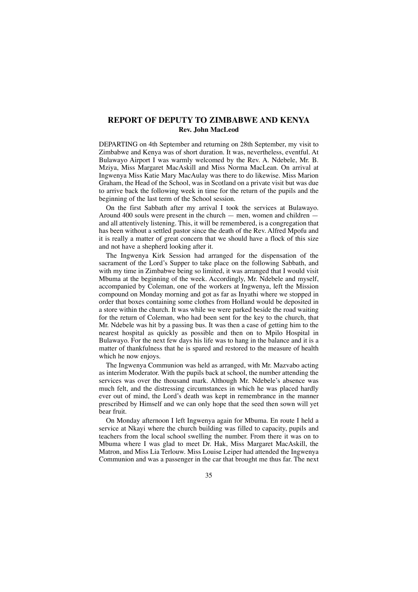## **REPORT OF DEPUTY TO ZIMBABWE AND KENYA Rev. John MacLeod**

DEPARTING on 4th September and returning on 28th September, my visit to Zimbabwe and Kenya was of short duration. It was, nevertheless, eventful. At Bulawayo Airport I was warmly welcomed by the Rev. A. Ndebele, Mr. B. Mziya, Miss Margaret MacAskill and Miss Norma MacLean. On arrival at Ingwenya Miss Katie Mary MacAulay was there to do likewise. Miss Marion Graham, the Head of the School, was in Scotland on a private visit but was due to arrive back the following week in time for the return of the pupils and the beginning of the last term of the School session.

On the first Sabbath after my arrival I took the services at Bulawayo. Around 400 souls were present in the church — men, women and children and all attentively listening. This, it will be remembered, is a congregation that has been without a settled pastor since the death of the Rev. Alfred Mpofu and it is really a matter of great concern that we should have a flock of this size and not have a shepherd looking after it.

The Ingwenya Kirk Session had arranged for the dispensation of the sacrament of the Lord's Supper to take place on the following Sabbath, and with my time in Zimbabwe being so limited, it was arranged that I would visit Mbuma at the beginning of the week. Accordingly, Mr. Ndebele and myself, accompanied by Coleman, one of the workers at Ingwenya, left the Mission compound on Monday morning and got as far as Inyathi where we stopped in order that boxes containing some clothes from Holland would be deposited in a store within the church. It was while we were parked beside the road waiting for the return of Coleman, who had been sent for the key to the church, that Mr. Ndebele was hit by a passing bus. It was then a case of getting him to the nearest hospital as quickly as possible and then on to Mpilo Hospital in Bulawayo. For the next few days his life was to hang in the balance and it is a matter of thankfulness that he is spared and restored to the measure of health which he now enjoys.

The Ingwenya Communion was held as arranged, with Mr. Mazvabo acting as interim Moderator. With the pupils back at school, the number attending the services was over the thousand mark. Although Mr. Ndebele's absence was much felt, and the distressing circumstances in which he was placed hardly ever out of mind, the Lord's death was kept in remembrance in the manner prescribed by Himself and we can only hope that the seed then sown will yet bear fruit.

On Monday afternoon I left Ingwenya again for Mbuma. En route I held a service at Nkayi where the church building was filled to capacity, pupils and teachers from the local school swelling the number. From there it was on to Mbuma where I was glad to meet Dr. Hak, Miss Margaret MacAskill, the Matron, and Miss Lia Terlouw. Miss Louise Leiper had attended the Ingwenya Communion and was a passenger in the car that brought me thus far. The next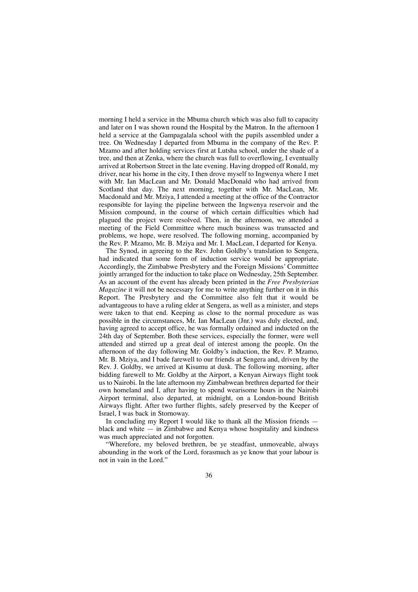morning I held a service in the Mbuma church which was also full to capacity and later on I was shown round the Hospital by the Matron. In the afternoon I held a service at the Gampagalala school with the pupils assembled under a tree. On Wednesday I departed from Mbuma in the company of the Rev. P. Mzamo and after holding services first at Lutsha school, under the shade of a tree, and then at Zenka, where the church was full to overflowing, I eventually arrived at Robertson Street in the late evening. Having dropped off Ronald, my driver, near his home in the city, I then drove myself to Ingwenya where I met with Mr. Ian MacLean and Mr. Donald MacDonald who had arrived from Scotland that day. The next morning, together with Mr. MacLean, Mr. Macdonald and Mr. Mziya, I attended a meeting at the office of the Contractor responsible for laying the pipeline between the Ingwenya reservoir and the Mission compound, in the course of which certain difficulties which had plagued the project were resolved. Then, in the afternoon, we attended a meeting of the Field Committee where much business was transacted and problems, we hope, were resolved. The following morning, accompanied by the Rev. P. Mzamo, Mr. B. Mziya and Mr. I. MacLean, I departed for Kenya.

The Synod, in agreeing to the Rev. John Goldby's translation to Sengera, had indicated that some form of induction service would be appropriate. Accordingly, the Zimbabwe Presbytery and the Foreign Missions' Committee jointly arranged for the induction to take place on Wednesday, 25th September. As an account of the event has already been printed in the *Free Presbyterian Magazine* it will not be necessary for me to write anything further on it in this Report. The Presbytery and the Committee also felt that it would be advantageous to have a ruling elder at Sengera, as well as a minister, and steps were taken to that end. Keeping as close to the normal procedure as was possible in the circumstances, Mr. Ian MacLean (Jnr.) was duly elected, and, having agreed to accept office, he was formally ordained and inducted on the 24th day of September. Both these services, especially the former, were well attended and stirred up a great deal of interest among the people. On the afternoon of the day following Mr. Goldby's induction, the Rev. P. Mzamo, Mr. B. Mziya, and I bade farewell to our friends at Sengera and, driven by the Rev. J. Goldby, we arrived at Kisumu at dusk. The following morning, after bidding farewell to Mr. Goldby at the Airport, a Kenyan Airways flight took us to Nairobi. In the late afternoon my Zimbabwean brethren departed for their own homeland and I, after having to spend wearisome hours in the Nairobi Airport terminal, also departed, at midnight, on a London-bound British Airways flight. After two further flights, safely preserved by the Keeper of Israel, I was back in Stornoway.

In concluding my Report I would like to thank all the Mission friends black and white  $-$  in Zimbabwe and Kenya whose hospitality and kindness was much appreciated and not forgotten.

"Wherefore, my beloved brethren, be ye steadfast, unmoveable, always abounding in the work of the Lord, forasmuch as ye know that your labour is not in vain in the Lord."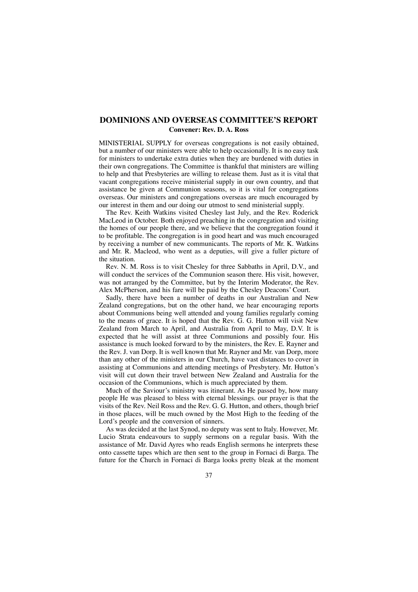## **DOMINIONS AND OVERSEAS COMMITTEE'S REPORT Convener: Rev. D. A. Ross**

MINISTERIAL SUPPLY for overseas congregations is not easily obtained, but a number of our ministers were able to help occasionally. It is no easy task for ministers to undertake extra duties when they are burdened with duties in their own congregations. The Committee is thankful that ministers are willing to help and that Presbyteries are willing to release them. Just as it is vital that vacant congregations receive ministerial supply in our own country, and that assistance be given at Communion seasons, so it is vital for congregations overseas. Our ministers and congregations overseas are much encouraged by our interest in them and our doing our utmost to send ministerial supply.

The Rev. Keith Watkins visited Chesley last July, and the Rev. Roderick MacLeod in October. Both enjoyed preaching in the congregation and visiting the homes of our people there, and we believe that the congregation found it to be profitable. The congregation is in good heart and was much encouraged by receiving a number of new communicants. The reports of Mr. K. Watkins and Mr. R. Macleod, who went as a deputies, will give a fuller picture of the situation.

Rev. N. M. Ross is to visit Chesley for three Sabbaths in April, D.V., and will conduct the services of the Communion season there. His visit, however, was not arranged by the Committee, but by the Interim Moderator, the Rev. Alex McPherson, and his fare will be paid by the Chesley Deacons' Court.

Sadly, there have been a number of deaths in our Australian and New Zealand congregations, but on the other hand, we hear encouraging reports about Communions being well attended and young families regularly coming to the means of grace. It is hoped that the Rev. G. G. Hutton will visit New Zealand from March to April, and Australia from April to May, D.V. It is expected that he will assist at three Communions and possibly four. His assistance is much looked forward to by the ministers, the Rev. E. Rayner and the Rev. J. van Dorp. It is well known that Mr. Rayner and Mr. van Dorp, more than any other of the ministers in our Church, have vast distances to cover in assisting at Communions and attending meetings of Presbytery. Mr. Hutton's visit will cut down their travel between New Zealand and Australia for the occasion of the Communions, which is much appreciated by them.

Much of the Saviour's ministry was itinerant. As He passed by, how many people He was pleased to bless with eternal blessings. our prayer is that the visits of the Rev. Neil Ross and the Rev. G. G. Hutton, and others, though brief in those places, will be much owned by the Most High to the feeding of the Lord's people and the conversion of sinners.

As was decided at the last Synod, no deputy was sent to Italy. However, Mr. Lucio Strata endeavours to supply sermons on a regular basis. With the assistance of Mr. David Ayres who reads English sermons he interprets these onto cassette tapes which are then sent to the group in Fornaci di Barga. The future for the Church in Fornaci di Barga looks pretty bleak at the moment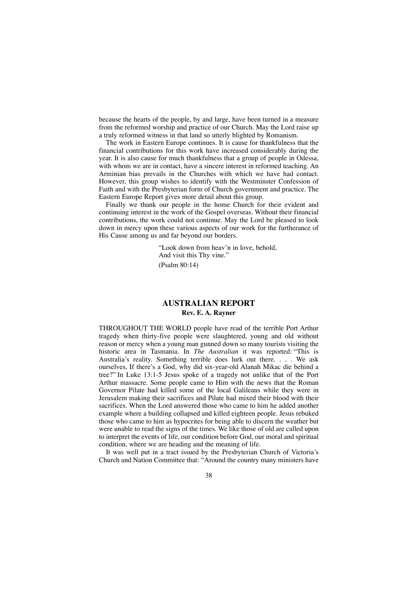because the hearts of the people, by and large, have been turned in a measure from the reformed worship and practice of our Church. May the Lord raise up a truly reformed witness in that land so utterly blighted by Romanism.

The work in Eastern Europe continues. It is cause for thankfulness that the financial contributions for this work have increased considerably during the year. It is also cause for much thankfulness that a group of people in Odessa, with whom we are in contact, have a sincere interest in reformed teaching. An Arminian bias prevails in the Churches with which we have had contact. However, this group wishes to identify with the Westminster Confession of Faith and with the Presbyterian form of Church government and practice. The Eastern Europe Report gives more detail about this group.

Finally we thank our people in the home Church for their evident and continuing interest in the work of the Gospel overseas. Without their financial contributions, the work could not continue. May the Lord be pleased to look down in mercy upon these various aspects of our work for the furtherance of His Cause among us and far beyond our borders.

> "Look down from heav'n in love, behold, And visit this Thy vine." (Psalm 80:14)

## **AUSTRALIAN REPORT Rev. E. A. Rayner**

THROUGHOUT THE WORLD people have read of the terrible Port Arthur tragedy when thirty-five people were slaughtered, young and old without reason or mercy when a young man gunned down so many tourists visiting the historic area in Tasmania. In *The Australian* it was reported: "This is Australia's reality. Something terrible does lurk out there. . . . We ask ourselves, If there's a God, why did six-year-old Alanah Mikac die behind a tree?" In Luke 13:1-5 Jesus spoke of a tragedy not unlike that of the Port Arthur massacre. Some people came to Him with the news that the Roman Governor Pilate had killed some of the local Galileans while they were in Jerusalem making their sacrifices and Pilate had mixed their blood with their sacrifices. When the Lord answered those who came to him he added another example where a building collapsed and killed eighteen people. Jesus rebuked those who came to him as hypocrites for being able to discern the weather but were unable to read the signs of the times. We like those of old are called upon to interpret the events of life, our condition before God, our moral and spiritual condition, where we are heading and the meaning of life.

It was well put in a tract issued by the Presbyterian Church of Victoria's Church and Nation Committee that: "Around the country many ministers have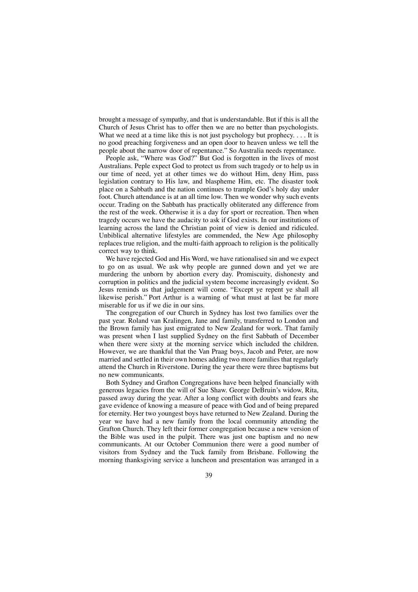brought a message of sympathy, and that is understandable. But if this is all the Church of Jesus Christ has to offer then we are no better than psychologists. What we need at a time like this is not just psychology but prophecy. . . . It is no good preaching forgiveness and an open door to heaven unless we tell the people about the narrow door of repentance." So Australia needs repentance.

People ask, "Where was God?" But God is forgotten in the lives of most Australians. Peple expect God to protect us from such tragedy or to help us in our time of need, yet at other times we do without Him, deny Him, pass legislation contrary to His law, and blaspheme Him, etc. The disaster took place on a Sabbath and the nation continues to trample God's holy day under foot. Church attendance is at an all time low. Then we wonder why such events occur. Trading on the Sabbath has practically obliterated any difference from the rest of the week. Otherwise it is a day for sport or recreation. Then when tragedy occurs we have the audacity to ask if God exists. In our institutions of learning across the land the Christian point of view is denied and ridiculed. Unbiblical alternative lifestyles are commended, the New Age philosophy replaces true religion, and the multi-faith approach to religion is the politically correct way to think.

We have rejected God and His Word, we have rationalised sin and we expect to go on as usual. We ask why people are gunned down and yet we are murdering the unborn by abortion every day. Promiscuity, dishonesty and corruption in politics and the judicial system become increasingly evident. So Jesus reminds us that judgement will come. "Except ye repent ye shall all likewise perish." Port Arthur is a warning of what must at last be far more miserable for us if we die in our sins.

The congregation of our Church in Sydney has lost two families over the past year. Roland van Kralingen, Jane and family, transferred to London and the Brown family has just emigrated to New Zealand for work. That family was present when I last supplied Sydney on the first Sabbath of December when there were sixty at the morning service which included the children. However, we are thankful that the Van Praag boys, Jacob and Peter, are now married and settled in their own homes adding two more families that regularly attend the Church in Riverstone. During the year there were three baptisms but no new communicants.

Both Sydney and Grafton Congregations have been helped financially with generous legacies from the will of Sue Shaw. George DeBruin's widow, Rita, passed away during the year. After a long conflict with doubts and fears she gave evidence of knowing a measure of peace with God and of being prepared for eternity. Her two youngest boys have returned to New Zealand. During the year we have had a new family from the local community attending the Grafton Church. They left their former congregation because a new version of the Bible was used in the pulpit. There was just one baptism and no new communicants. At our October Communion there were a good number of visitors from Sydney and the Tuck family from Brisbane. Following the morning thanksgiving service a luncheon and presentation was arranged in a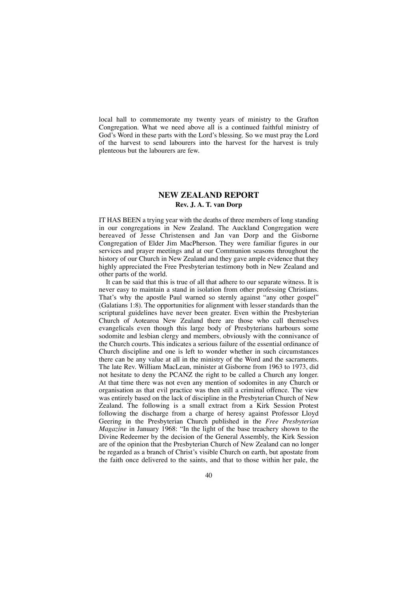local hall to commemorate my twenty years of ministry to the Grafton Congregation. What we need above all is a continued faithful ministry of God's Word in these parts with the Lord's blessing. So we must pray the Lord of the harvest to send labourers into the harvest for the harvest is truly plenteous but the labourers are few.

## **NEW ZEALAND REPORT Rev. J. A. T. van Dorp**

IT HAS BEEN a trying year with the deaths of three members of long standing in our congregations in New Zealand. The Auckland Congregation were bereaved of Jesse Christensen and Jan van Dorp and the Gisborne Congregation of Elder Jim MacPherson. They were familiar figures in our services and prayer meetings and at our Communion seasons throughout the history of our Church in New Zealand and they gave ample evidence that they highly appreciated the Free Presbyterian testimony both in New Zealand and other parts of the world.

It can be said that this is true of all that adhere to our separate witness. It is never easy to maintain a stand in isolation from other professing Christians. That's why the apostle Paul warned so sternly against "any other gospel" (Galatians 1:8). The opportunities for alignment with lesser standards than the scriptural guidelines have never been greater. Even within the Presbyterian Church of Aotearoa New Zealand there are those who call themselves evangelicals even though this large body of Presbyterians harbours some sodomite and lesbian clergy and members, obviously with the connivance of the Church courts. This indicates a serious failure of the essential ordinance of Church discipline and one is left to wonder whether in such circumstances there can be any value at all in the ministry of the Word and the sacraments. The late Rev. William MacLean, minister at Gisborne from 1963 to 1973, did not hesitate to deny the PCANZ the right to be called a Church any longer. At that time there was not even any mention of sodomites in any Church or organisation as that evil practice was then still a criminal offence. The view was entirely based on the lack of discipline in the Presbyterian Church of New Zealand. The following is a small extract from a Kirk Session Protest following the discharge from a charge of heresy against Professor Lloyd Geering in the Presbyterian Church published in the *Free Presbyterian Magazine* in January 1968: "In the light of the base treachery shown to the Divine Redeemer by the decision of the General Assembly, the Kirk Session are of the opinion that the Presbyterian Church of New Zealand can no longer be regarded as a branch of Christ's visible Church on earth, but apostate from the faith once delivered to the saints, and that to those within her pale, the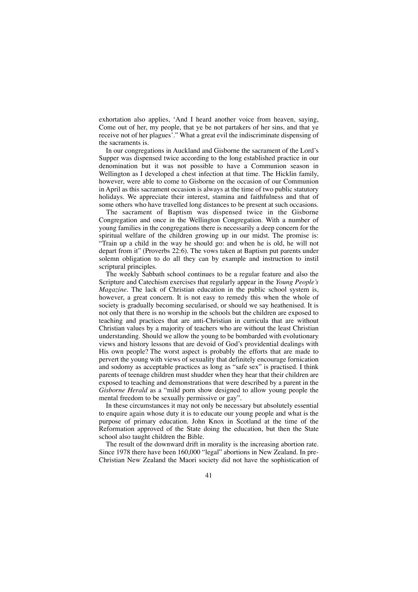exhortation also applies, 'And I heard another voice from heaven, saying, Come out of her, my people, that ye be not partakers of her sins, and that ye receive not of her plagues'." What a great evil the indiscriminate dispensing of the sacraments is.

In our congregations in Auckland and Gisborne the sacrament of the Lord's Supper was dispensed twice according to the long established practice in our denomination but it was not possible to have a Communion season in Wellington as I developed a chest infection at that time. The Hicklin family, however, were able to come to Gisborne on the occasion of our Communion in April as this sacrament occasion is always at the time of two public statutory holidays. We appreciate their interest, stamina and faithfulness and that of some others who have travelled long distances to be present at such occasions.

The sacrament of Baptism was dispensed twice in the Gisborne Congregation and once in the Wellington Congregation. With a number of young families in the congregations there is necessarily a deep concern for the spiritual welfare of the children growing up in our midst. The promise is: "Train up a child in the way he should go: and when he is old, he will not depart from it" (Proverbs 22:6). The vows taken at Baptism put parents under solemn obligation to do all they can by example and instruction to instil scriptural principles.

The weekly Sabbath school continues to be a regular feature and also the Scripture and Catechism exercises that regularly appear in the *Young People's Magazine*. The lack of Christian education in the public school system is, however, a great concern. It is not easy to remedy this when the whole of society is gradually becoming secularised, or should we say heathenised. It is not only that there is no worship in the schools but the children are exposed to teaching and practices that are anti-Christian in curricula that are without Christian values by a majority of teachers who are without the least Christian understanding. Should we allow the young to be bombarded with evolutionary views and history lessons that are devoid of God's providential dealings with His own people? The worst aspect is probably the efforts that are made to pervert the young with views of sexuality that definitely encourage fornication and sodomy as acceptable practices as long as "safe sex" is practised. I think parents of teenage children must shudder when they hear that their children are exposed to teaching and demonstrations that were described by a parent in the *Gisborne Herald* as a "mild porn show designed to allow young people the mental freedom to be sexually permissive or gay".

In these circumstances it may not only be necessary but absolutely essential to enquire again whose duty it is to educate our young people and what is the purpose of primary education. John Knox in Scotland at the time of the Reformation approved of the State doing the education, but then the State school also taught children the Bible.

The result of the downward drift in morality is the increasing abortion rate. Since 1978 there have been 160,000 "legal" abortions in New Zealand. In pre-Christian New Zealand the Maori society did not have the sophistication of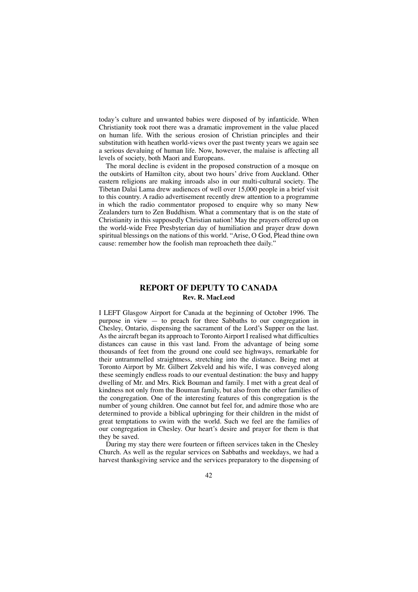today's culture and unwanted babies were disposed of by infanticide. When Christianity took root there was a dramatic improvement in the value placed on human life. With the serious erosion of Christian principles and their substitution with heathen world-views over the past twenty years we again see a serious devaluing of human life. Now, however, the malaise is affecting all levels of society, both Maori and Europeans.

The moral decline is evident in the proposed construction of a mosque on the outskirts of Hamilton city, about two hours' drive from Auckland. Other eastern religions are making inroads also in our multi-cultural society. The Tibetan Dalai Lama drew audiences of well over 15,000 people in a brief visit to this country. A radio advertisement recently drew attention to a programme in which the radio commentator proposed to enquire why so many New Zealanders turn to Zen Buddhism. What a commentary that is on the state of Christianity in this supposedly Christian nation! May the prayers offered up on the world-wide Free Presbyterian day of humiliation and prayer draw down spiritual blessings on the nations of this world. "Arise, O God, Plead thine own cause: remember how the foolish man reproacheth thee daily."

## **REPORT OF DEPUTY TO CANADA Rev. R. MacLeod**

I LEFT Glasgow Airport for Canada at the beginning of October 1996. The purpose in view — to preach for three Sabbaths to our congregation in Chesley, Ontario, dispensing the sacrament of the Lord's Supper on the last. As the aircraft began its approach to Toronto Airport I realised what difficulties distances can cause in this vast land. From the advantage of being some thousands of feet from the ground one could see highways, remarkable for their untrammelled straightness, stretching into the distance. Being met at Toronto Airport by Mr. Gilbert Zekveld and his wife, I was conveyed along these seemingly endless roads to our eventual destination: the busy and happy dwelling of Mr. and Mrs. Rick Bouman and family. I met with a great deal of kindness not only from the Bouman family, but also from the other families of the congregation. One of the interesting features of this congregation is the number of young children. One cannot but feel for, and admire those who are determined to provide a biblical upbringing for their children in the midst of great temptations to swim with the world. Such we feel are the families of our congregation in Chesley. Our heart's desire and prayer for them is that they be saved.

During my stay there were fourteen or fifteen services taken in the Chesley Church. As well as the regular services on Sabbaths and weekdays, we had a harvest thanksgiving service and the services preparatory to the dispensing of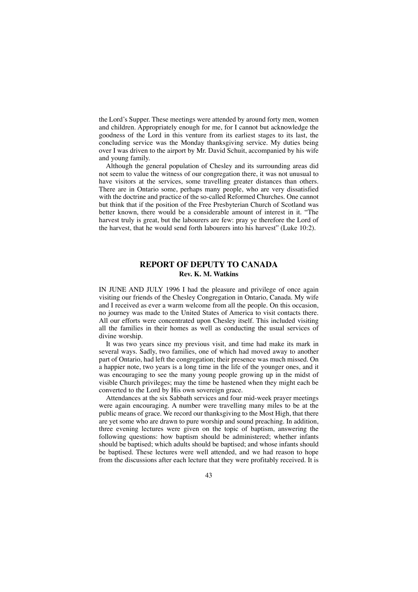the Lord's Supper. These meetings were attended by around forty men, women and children. Appropriately enough for me, for I cannot but acknowledge the goodness of the Lord in this venture from its earliest stages to its last, the concluding service was the Monday thanksgiving service. My duties being over I was driven to the airport by Mr. David Schuit, accompanied by his wife and young family.

Although the general population of Chesley and its surrounding areas did not seem to value the witness of our congregation there, it was not unusual to have visitors at the services, some travelling greater distances than others. There are in Ontario some, perhaps many people, who are very dissatisfied with the doctrine and practice of the so-called Reformed Churches. One cannot but think that if the position of the Free Presbyterian Church of Scotland was better known, there would be a considerable amount of interest in it. "The harvest truly is great, but the labourers are few: pray ye therefore the Lord of the harvest, that he would send forth labourers into his harvest" (Luke 10:2).

## **REPORT OF DEPUTY TO CANADA Rev. K. M. Watkins**

IN JUNE AND JULY 1996 I had the pleasure and privilege of once again visiting our friends of the Chesley Congregation in Ontario, Canada. My wife and I received as ever a warm welcome from all the people. On this occasion, no journey was made to the United States of America to visit contacts there. All our efforts were concentrated upon Chesley itself. This included visiting all the families in their homes as well as conducting the usual services of divine worship.

It was two years since my previous visit, and time had make its mark in several ways. Sadly, two families, one of which had moved away to another part of Ontario, had left the congregation; their presence was much missed. On a happier note, two years is a long time in the life of the younger ones, and it was encouraging to see the many young people growing up in the midst of visible Church privileges; may the time be hastened when they might each be converted to the Lord by His own sovereign grace.

Attendances at the six Sabbath services and four mid-week prayer meetings were again encouraging. A number were travelling many miles to be at the public means of grace. We record our thanksgiving to the Most High, that there are yet some who are drawn to pure worship and sound preaching. In addition, three evening lectures were given on the topic of baptism, answering the following questions: how baptism should be administered; whether infants should be baptised; which adults should be baptised; and whose infants should be baptised. These lectures were well attended, and we had reason to hope from the discussions after each lecture that they were profitably received. It is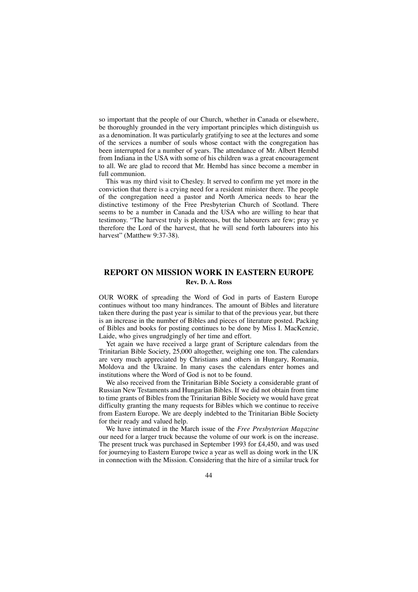so important that the people of our Church, whether in Canada or elsewhere, be thoroughly grounded in the very important principles which distinguish us as a denomination. It was particularly gratifying to see at the lectures and some of the services a number of souls whose contact with the congregation has been interrupted for a number of years. The attendance of Mr. Albert Hembd from Indiana in the USA with some of his children was a great encouragement to all. We are glad to record that Mr. Hembd has since become a member in full communion.

This was my third visit to Chesley. It served to confirm me yet more in the conviction that there is a crying need for a resident minister there. The people of the congregation need a pastor and North America needs to hear the distinctive testimony of the Free Presbyterian Church of Scotland. There seems to be a number in Canada and the USA who are willing to hear that testimony. "The harvest truly is plenteous, but the labourers are few; pray ye therefore the Lord of the harvest, that he will send forth labourers into his harvest" (Matthew 9:37-38).

## **REPORT ON MISSION WORK IN EASTERN EUROPE Rev. D. A. Ross**

OUR WORK of spreading the Word of God in parts of Eastern Europe continues without too many hindrances. The amount of Bibles and literature taken there during the past year is similar to that of the previous year, but there is an increase in the number of Bibles and pieces of literature posted. Packing of Bibles and books for posting continues to be done by Miss I. MacKenzie, Laide, who gives ungrudgingly of her time and effort.

Yet again we have received a large grant of Scripture calendars from the Trinitarian Bible Society, 25,000 altogether, weighing one ton. The calendars are very much appreciated by Christians and others in Hungary, Romania, Moldova and the Ukraine. In many cases the calendars enter homes and institutions where the Word of God is not to be found.

We also received from the Trinitarian Bible Society a considerable grant of Russian New Testaments and Hungarian Bibles. If we did not obtain from time to time grants of Bibles from the Trinitarian Bible Society we would have great difficulty granting the many requests for Bibles which we continue to receive from Eastern Europe. We are deeply indebted to the Trinitarian Bible Society for their ready and valued help.

We have intimated in the March issue of the *Free Presbyterian Magazine* our need for a larger truck because the volume of our work is on the increase. The present truck was purchased in September 1993 for £4,450, and was used for journeying to Eastern Europe twice a year as well as doing work in the UK in connection with the Mission. Considering that the hire of a similar truck for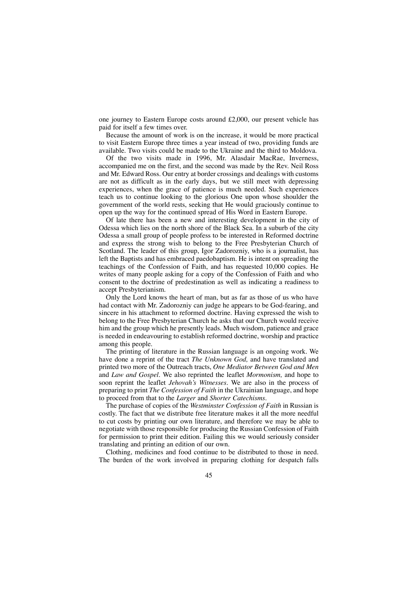one journey to Eastern Europe costs around £2,000, our present vehicle has paid for itself a few times over.

Because the amount of work is on the increase, it would be more practical to visit Eastern Europe three times a year instead of two, providing funds are available. Two visits could be made to the Ukraine and the third to Moldova.

Of the two visits made in 1996, Mr. Alasdair MacRae, Inverness, accompanied me on the first, and the second was made by the Rev. Neil Ross and Mr. Edward Ross. Our entry at border crossings and dealings with customs are not as difficult as in the early days, but we still meet with depressing experiences, when the grace of patience is much needed. Such experiences teach us to continue looking to the glorious One upon whose shoulder the government of the world rests, seeking that He would graciously continue to open up the way for the continued spread of His Word in Eastern Europe.

Of late there has been a new and interesting development in the city of Odessa which lies on the north shore of the Black Sea. In a suburb of the city Odessa a small group of people profess to be interested in Reformed doctrine and express the strong wish to belong to the Free Presbyterian Church of Scotland. The leader of this group, Igor Zadorozniy, who is a journalist, has left the Baptists and has embraced paedobaptism. He is intent on spreading the teachings of the Confession of Faith, and has requested 10,000 copies. He writes of many people asking for a copy of the Confession of Faith and who consent to the doctrine of predestination as well as indicating a readiness to accept Presbyterianism.

Only the Lord knows the heart of man, but as far as those of us who have had contact with Mr. Zadorozniy can judge he appears to be God-fearing, and sincere in his attachment to reformed doctrine. Having expressed the wish to belong to the Free Presbyterian Church he asks that our Church would receive him and the group which he presently leads. Much wisdom, patience and grace is needed in endeavouring to establish reformed doctrine, worship and practice among this people.

The printing of literature in the Russian language is an ongoing work. We have done a reprint of the tract *The Unknown God,* and have translated and printed two more of the Outreach tracts, *One Mediator Between God and Men* and *Law and Gospel.* We also reprinted the leaflet *Mormonism,* and hope to soon reprint the leaflet *Jehovah's Witnesses.* We are also in the process of preparing to print *The Confession of Faith* in the Ukrainian language, and hope to proceed from that to the *Larger* and *Shorter Catechisms.*

The purchase of copies of the *Westminster Confession of Faith* in Russian is costly. The fact that we distribute free literature makes it all the more needful to cut costs by printing our own literature, and therefore we may be able to negotiate with those responsible for producing the Russian Confession of Faith for permission to print their edition. Failing this we would seriously consider translating and printing an edition of our own.

Clothing, medicines and food continue to be distributed to those in need. The burden of the work involved in preparing clothing for despatch falls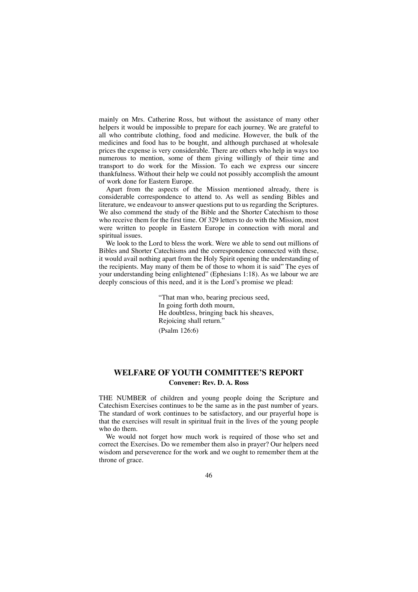mainly on Mrs. Catherine Ross, but without the assistance of many other helpers it would be impossible to prepare for each journey. We are grateful to all who contribute clothing, food and medicine. However, the bulk of the medicines and food has to be bought, and although purchased at wholesale prices the expense is very considerable. There are others who help in ways too numerous to mention, some of them giving willingly of their time and transport to do work for the Mission. To each we express our sincere thankfulness. Without their help we could not possibly accomplish the amount of work done for Eastern Europe.

Apart from the aspects of the Mission mentioned already, there is considerable correspondence to attend to. As well as sending Bibles and literature, we endeavour to answer questions put to us regarding the Scriptures. We also commend the study of the Bible and the Shorter Catechism to those who receive them for the first time. Of 329 letters to do with the Mission, most were written to people in Eastern Europe in connection with moral and spiritual issues.

We look to the Lord to bless the work. Were we able to send out millions of Bibles and Shorter Catechisms and the correspondence connected with these, it would avail nothing apart from the Holy Spirit opening the understanding of the recipients. May many of them be of those to whom it is said" The eyes of your understanding being enlightened" (Ephesians 1:18). As we labour we are deeply conscious of this need, and it is the Lord's promise we plead:

> "That man who, bearing precious seed, In going forth doth mourn, He doubtless, bringing back his sheaves, Rejoicing shall return." (Psalm 126:6)

## **WELFARE OF YOUTH COMMITTEE'S REPORT Convener: Rev. D. A. Ross**

THE NUMBER of children and young people doing the Scripture and Catechism Exercises continues to be the same as in the past number of years. The standard of work continues to be satisfactory, and our prayerful hope is that the exercises will result in spiritual fruit in the lives of the young people who do them.

We would not forget how much work is required of those who set and correct the Exercises. Do we remember them also in prayer? Our helpers need wisdom and perseverence for the work and we ought to remember them at the throne of grace.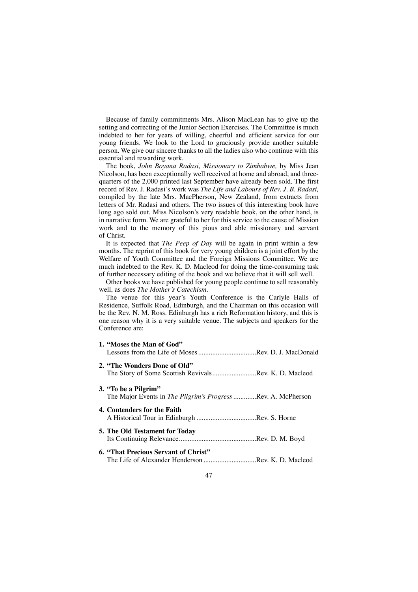Because of family commitments Mrs. Alison MacLean has to give up the setting and correcting of the Junior Section Exercises. The Committee is much indebted to her for years of willing, cheerful and efficient service for our young friends. We look to the Lord to graciously provide another suitable person. We give our sincere thanks to all the ladies also who continue with this essential and rewarding work.

The book, *John Boyana Radasi, Missionary to Zimbabwe,* by Miss Jean Nicolson, has been exceptionally well received at home and abroad, and threequarters of the 2,000 printed last September have already been sold. The first record of Rev. J. Radasi's work was *The Life and Labours of Rev. J. B. Radasi,* compiled by the late Mrs. MacPherson, New Zealand, from extracts from letters of Mr. Radasi and others. The two issues of this interesting book have long ago sold out. Miss Nicolson's very readable book, on the other hand, is in narrative form. We are grateful to her for this service to the cause of Mission work and to the memory of this pious and able missionary and servant of Christ.

It is expected that *The Peep of Day* will be again in print within a few months. The reprint of this book for very young children is a joint effort by the Welfare of Youth Committee and the Foreign Missions Committee. We are much indebted to the Rev. K. D. Macleod for doing the time-consuming task of further necessary editing of the book and we believe that it will sell well.

Other books we have published for young people continue to sell reasonably well, as does *The Mother's Catechism.*

The venue for this year's Youth Conference is the Carlyle Halls of Residence, Suffolk Road, Edinburgh, and the Chairman on this occasion will be the Rev. N. M. Ross. Edinburgh has a rich Reformation history, and this is one reason why it is a very suitable venue. The subjects and speakers for the Conference are:

| 1. "Moses the Man of God"                                                                   |
|---------------------------------------------------------------------------------------------|
| 2. "The Wonders Done of Old"<br>The Story of Some Scottish RevivalsRev. K. D. Macleod       |
| 3. "To be a Pilgrim"<br>The Major Events in <i>The Pilgrim's Progress</i> Rev. A. McPherson |
| 4. Contenders for the Faith                                                                 |
| <b>5. The Old Testament for Today</b>                                                       |
| 6. "That Precious Servant of Christ"<br>The Life of Alexander Henderson Rev. K. D. Macleod  |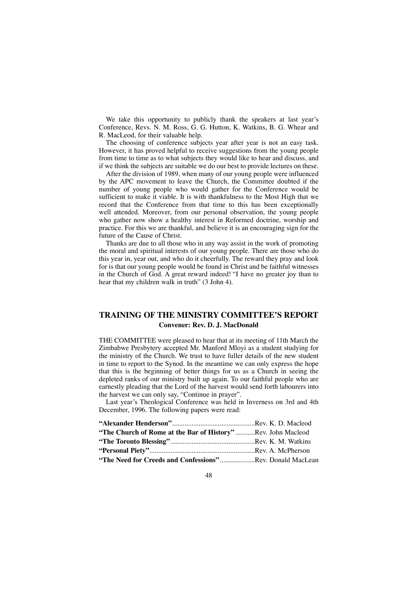We take this opportunity to publicly thank the speakers at last year's Conference, Revs. N. M. Ross, G. G. Hutton, K. Watkins, B. G. Whear and R. MacLeod, for their valuable help.

The choosing of conference subjects year after year is not an easy task. However, it has proved helpful to receive suggestions from the young people from time to time as to what subjects they would like to hear and discuss, and if we think the subjects are suitable we do our best to provide lectures on these.

After the division of 1989, when many of our young people were influenced by the APC movement to leave the Church, the Committee doubted if the number of young people who would gather for the Conference would be sufficient to make it viable. It is with thankfulness to the Most High that we record that the Conference from that time to this has been exceptionally well attended. Moreover, from our personal observation, the young people who gather now show a healthy interest in Reformed doctrine, worship and practice. For this we are thankful, and believe it is an encouraging sign for the future of the Cause of Christ.

Thanks are due to all those who in any way assist in the work of promoting the moral and spiritual interests of our young people. There are those who do this year in, year out, and who do it cheerfully. The reward they pray and look for is that our young people would be found in Christ and be faithful witnesses in the Church of God. A great reward indeed! "I have no greater joy than to hear that my children walk in truth" (3 John 4).

## **TRAINING OF THE MINISTRY COMMITTEE'S REPORT Convener: Rev. D. J. MacDonald**

THE COMMITTEE were pleased to hear that at its meeting of 11th March the Zimbabwe Presbytery accepted Mr. Manford Mloyi as a student studying for the ministry of the Church. We trust to have fuller details of the new student in time to report to the Synod. In the meantime we can only express the hope that this is the beginning of better things for us as a Church in seeing the depleted ranks of our ministry built up again. To our faithful people who are earnestly pleading that the Lord of the harvest would send forth labourers into the harvest we can only say, "Continue in prayer".

Last year's Theological Conference was held in Inverness on 3rd and 4th December, 1996. The following papers were read:

| "The Church of Rome at the Bar of History"Rev. John Macleod      |  |
|------------------------------------------------------------------|--|
|                                                                  |  |
|                                                                  |  |
| <b>"The Need for Creeds and Confessions"</b> Rev. Donald MacLean |  |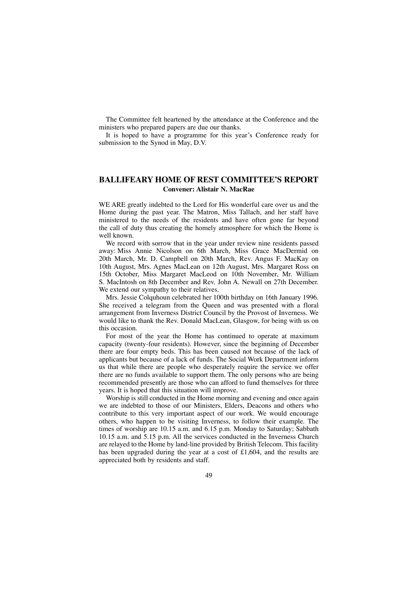The Committee felt heartened by the attendance at the Conference and the ministers who prepared papers are due our thanks.

It is hoped to have a programme for this year's Conference ready for submission to the Synod in May, D.V.

## **BALLIFEARY HOME OF REST COMMITTEE'S REPORT Convener: Alistair N. MacRae**

WE ARE greatly indebted to the Lord for His wonderful care over us and the Home during the past year. The Matron, Miss Tallach, and her staff have ministered to the needs of the residents and have often gone far beyond the call of duty thus creating the homely atmosphere for which the Home is well known.

We record with sorrow that in the year under review nine residents passed away: Miss Annie Nicolson on 6th March, Miss Grace MacDermid on 20th March, Mr. D. Campbell on 20th March, Rev. Angus F. MacKay on 10th August, Mrs. Agnes MacLean on 12th August, Mrs. Margaret Ross on 15th October, Miss Margaret MacLeod on 10th November, Mr. William S. MacIntosh on 8th December and Rev. John A. Newall on 27th December. We extend our sympathy to their relatives.

Mrs. Jessie Colquhoun celebrated her 100th birthday on 16th January 1996. She received a telegram from the Queen and was presented with a floral arrangement from Inverness District Council by the Provost of Inverness. We would like to thank the Rev. Donald MacLean, Glasgow, for being with us on this occasion.

For most of the year the Home has continued to operate at maximum capacity (twenty-four residents). However, since the beginning of December there are four empty beds. This has been caused not because of the lack of applicants but because of a lack of funds. The Social Work Department inform us that while there are people who desperately require the service we offer there are no funds available to support them. The only persons who are being recommended presently are those who can afford to fund themselves for three years. It is hoped that this situation will improve.

Worship is still conducted in the Home morning and evening and once again we are indebted to those of our Ministers, Elders, Deacons and others who contribute to this very important aspect of our work. We would encourage others, who happen to be visiting Inverness, to follow their example. The times of worship are 10.15 a.m. and 6.15 p.m. Monday to Saturday; Sabbath 10.15 a.m. and 5.15 p.m. All the services conducted in the Inverness Church are relayed to the Home by land-line provided by British Telecom. This facility has been upgraded during the year at a cost of £1,604, and the results are appreciated both by residents and staff.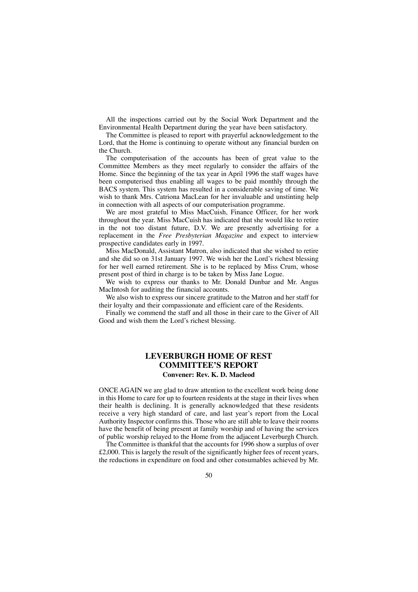All the inspections carried out by the Social Work Department and the Environmental Health Department during the year have been satisfactory.

The Committee is pleased to report with prayerful acknowledgement to the Lord, that the Home is continuing to operate without any financial burden on the Church.

The computerisation of the accounts has been of great value to the Committee Members as they meet regularly to consider the affairs of the Home. Since the beginning of the tax year in April 1996 the staff wages have been computerised thus enabling all wages to be paid monthly through the BACS system. This system has resulted in a considerable saving of time. We wish to thank Mrs. Catriona MacLean for her invaluable and unstinting help in connection with all aspects of our computerisation programme.

We are most grateful to Miss MacCuish, Finance Officer, for her work throughout the year. Miss MacCuish has indicated that she would like to retire in the not too distant future, D.V. We are presently advertising for a replacement in the *Free Presbyterian Magazine* and expect to interview prospective candidates early in 1997.

Miss MacDonald, Assistant Matron, also indicated that she wished to retire and she did so on 31st January 1997. We wish her the Lord's richest blessing for her well earned retirement. She is to be replaced by Miss Crum, whose present post of third in charge is to be taken by Miss Jane Logue.

We wish to express our thanks to Mr. Donald Dunbar and Mr. Angus MacIntosh for auditing the financial accounts.

We also wish to express our sincere gratitude to the Matron and her staff for their loyalty and their compassionate and efficient care of the Residents.

Finally we commend the staff and all those in their care to the Giver of All Good and wish them the Lord's richest blessing.

## **LEVERBURGH HOME OF REST COMMITTEE'S REPORT Convener: Rev. K. D. Macleod**

ONCE AGAIN we are glad to draw attention to the excellent work being done in this Home to care for up to fourteen residents at the stage in their lives when their health is declining. It is generally acknowledged that these residents receive a very high standard of care, and last year's report from the Local Authority Inspector confirms this. Those who are still able to leave their rooms have the benefit of being present at family worship and of having the services of public worship relayed to the Home from the adjacent Leverburgh Church.

The Committee is thankful that the accounts for 1996 show a surplus of over £2,000. This is largely the result of the significantly higher fees of recent years, the reductions in expenditure on food and other consumables achieved by Mr.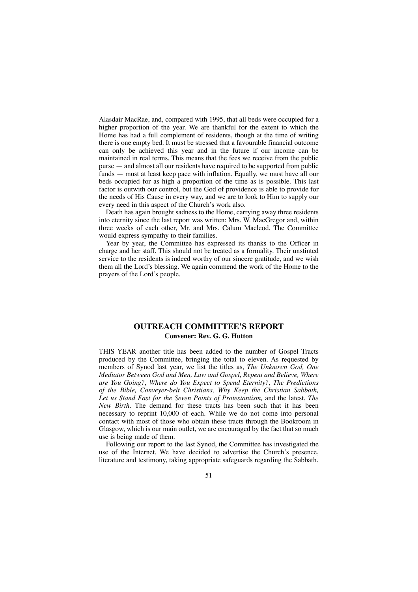Alasdair MacRae, and, compared with 1995, that all beds were occupied for a higher proportion of the year. We are thankful for the extent to which the Home has had a full complement of residents, though at the time of writing there is one empty bed. It must be stressed that a favourable financial outcome can only be achieved this year and in the future if our income can be maintained in real terms. This means that the fees we receive from the public purse — and almost all our residents have required to be supported from public funds — must at least keep pace with inflation. Equally, we must have all our beds occupied for as high a proportion of the time as is possible. This last factor is outwith our control, but the God of providence is able to provide for the needs of His Cause in every way, and we are to look to Him to supply our every need in this aspect of the Church's work also.

Death has again brought sadness to the Home, carrying away three residents into eternity since the last report was written: Mrs. W. MacGregor and, within three weeks of each other, Mr. and Mrs. Calum Macleod. The Committee would express sympathy to their families.

Year by year, the Committee has expressed its thanks to the Officer in charge and her staff. This should not be treated as a formality. Their unstinted service to the residents is indeed worthy of our sincere gratitude, and we wish them all the Lord's blessing. We again commend the work of the Home to the prayers of the Lord's people.

## **OUTREACH COMMITTEE'S REPORT Convener: Rev. G. G. Hutton**

THIS YEAR another title has been added to the number of Gospel Tracts produced by the Committee, bringing the total to eleven. As requested by members of Synod last year, we list the titles as, *The Unknown God, One Mediator Between God and Men, Law and Gospel, Repent and Believe, Where are You Going?, Where do You Expect to Spend Eternity?, The Predictions of the Bible, Conveyer-belt Christians, Why Keep the Christian Sabbath, Let us Stand Fast for the Seven Points of Protestantism,* and the latest, *The New Birth.* The demand for these tracts has been such that it has been necessary to reprint 10,000 of each. While we do not come into personal contact with most of those who obtain these tracts through the Bookroom in Glasgow, which is our main outlet, we are encouraged by the fact that so much use is being made of them.

Following our report to the last Synod, the Committee has investigated the use of the Internet. We have decided to advertise the Church's presence, literature and testimony, taking appropriate safeguards regarding the Sabbath.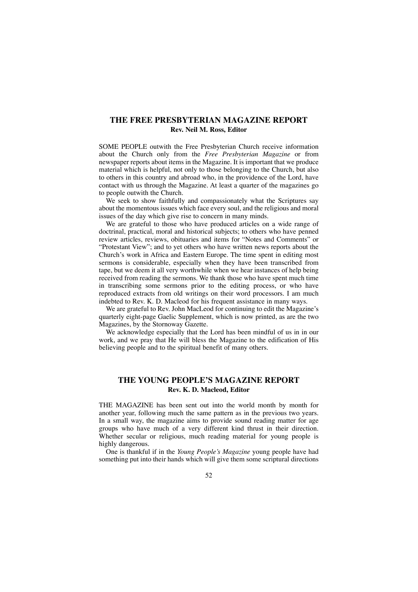## **THE FREE PRESBYTERIAN MAGAZINE REPORT Rev. Neil M. Ross, Editor**

SOME PEOPLE outwith the Free Presbyterian Church receive information about the Church only from the *Free Presbyterian Magazine* or from newspaper reports about items in the Magazine. It is important that we produce material which is helpful, not only to those belonging to the Church, but also to others in this country and abroad who, in the providence of the Lord, have contact with us through the Magazine. At least a quarter of the magazines go to people outwith the Church.

We seek to show faithfully and compassionately what the Scriptures say about the momentous issues which face every soul, and the religious and moral issues of the day which give rise to concern in many minds.

We are grateful to those who have produced articles on a wide range of doctrinal, practical, moral and historical subjects; to others who have penned review articles, reviews, obituaries and items for "Notes and Comments" or "Protestant View"; and to yet others who have written news reports about the Church's work in Africa and Eastern Europe. The time spent in editing most sermons is considerable, especially when they have been transcribed from tape, but we deem it all very worthwhile when we hear instances of help being received from reading the sermons. We thank those who have spent much time in transcribing some sermons prior to the editing process, or who have reproduced extracts from old writings on their word processors. I am much indebted to Rev. K. D. Macleod for his frequent assistance in many ways.

We are grateful to Rev. John MacLeod for continuing to edit the Magazine's quarterly eight-page Gaelic Supplement, which is now printed, as are the two Magazines, by the Stornoway Gazette.

We acknowledge especially that the Lord has been mindful of us in in our work, and we pray that He will bless the Magazine to the edification of His believing people and to the spiritual benefit of many others.

## **THE YOUNG PEOPLE'S MAGAZINE REPORT Rev. K. D. Macleod, Editor**

THE MAGAZINE has been sent out into the world month by month for another year, following much the same pattern as in the previous two years. In a small way, the magazine aims to provide sound reading matter for age groups who have much of a very different kind thrust in their direction. Whether secular or religious, much reading material for young people is highly dangerous.

One is thankful if in the *Young People's Magazine* young people have had something put into their hands which will give them some scriptural directions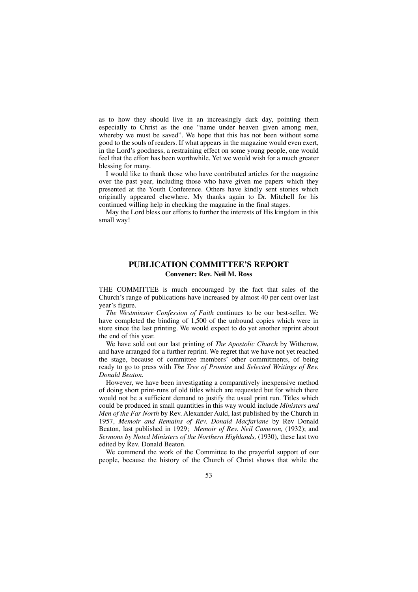as to how they should live in an increasingly dark day, pointing them especially to Christ as the one "name under heaven given among men, whereby we must be saved". We hope that this has not been without some good to the souls of readers. If what appears in the magazine would even exert, in the Lord's goodness, a restraining effect on some young people, one would feel that the effort has been worthwhile. Yet we would wish for a much greater blessing for many.

I would like to thank those who have contributed articles for the magazine over the past year, including those who have given me papers which they presented at the Youth Conference. Others have kindly sent stories which originally appeared elsewhere. My thanks again to Dr. Mitchell for his continued willing help in checking the magazine in the final stages.

May the Lord bless our efforts to further the interests of His kingdom in this small way!

## **PUBLICATION COMMITTEE'S REPORT Convener: Rev. Neil M. Ross**

THE COMMITTEE is much encouraged by the fact that sales of the Church's range of publications have increased by almost 40 per cent over last year's figure.

*The Westminster Confession of Faith* continues to be our best-seller. We have completed the binding of 1,500 of the unbound copies which were in store since the last printing. We would expect to do yet another reprint about the end of this year.

We have sold out our last printing of *The Apostolic Church* by Witherow, and have arranged for a further reprint. We regret that we have not yet reached the stage, because of committee members' other commitments, of being ready to go to press with *The Tree of Promise* and *Selected Writings of Rev. Donald Beaton.*

However, we have been investigating a comparatively inexpensive method of doing short print-runs of old titles which are requested but for which there would not be a sufficient demand to justify the usual print run. Titles which could be produced in small quantities in this way would include *Ministers and Men of the Far North* by Rev. Alexander Auld, last published by the Church in 1957, *Memoir and Remains of Rev. Donald Macfarlane* by Rev Donald Beaton, last published in 1929; *Memoir of Rev. Neil Cameron,* (1932); and *Sermons by Noted Ministers of the Northern Highlands,* (1930), these last two edited by Rev. Donald Beaton.

We commend the work of the Committee to the prayerful support of our people, because the history of the Church of Christ shows that while the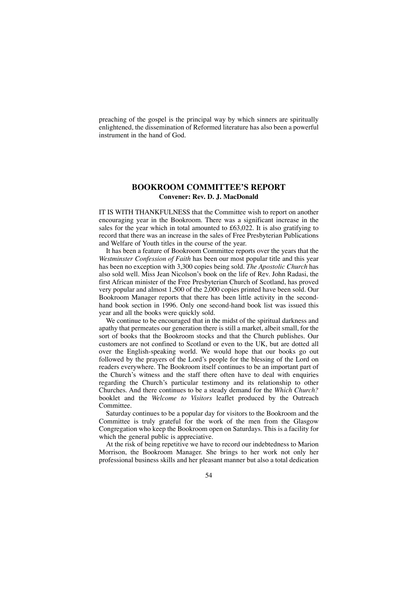preaching of the gospel is the principal way by which sinners are spiritually enlightened, the dissemination of Reformed literature has also been a powerful instrument in the hand of God.

## **BOOKROOM COMMITTEE'S REPORT Convener: Rev. D. J. MacDonald**

IT IS WITH THANKFULNESS that the Committee wish to report on another encouraging year in the Bookroom. There was a significant increase in the sales for the year which in total amounted to £63,022. It is also gratifying to record that there was an increase in the sales of Free Presbyterian Publications and Welfare of Youth titles in the course of the year.

It has been a feature of Bookroom Committee reports over the years that the *Westminster Confession of Faith* has been our most popular title and this year has been no exception with 3,300 copies being sold. *The Apostolic Church* has also sold well. Miss Jean Nicolson's book on the life of Rev. John Radasi, the first African minister of the Free Presbyterian Church of Scotland, has proved very popular and almost 1,500 of the 2,000 copies printed have been sold. Our Bookroom Manager reports that there has been little activity in the secondhand book section in 1996. Only one second-hand book list was issued this year and all the books were quickly sold.

We continue to be encouraged that in the midst of the spiritual darkness and apathy that permeates our generation there is still a market, albeit small, for the sort of books that the Bookroom stocks and that the Church publishes. Our customers are not confined to Scotland or even to the UK, but are dotted all over the English-speaking world. We would hope that our books go out followed by the prayers of the Lord's people for the blessing of the Lord on readers everywhere. The Bookroom itself continues to be an important part of the Church's witness and the staff there often have to deal with enquiries regarding the Church's particular testimony and its relationship to other Churches. And there continues to be a steady demand for the *Which Church?* booklet and the *Welcome to Visitors* leaflet produced by the Outreach Committee.

Saturday continues to be a popular day for visitors to the Bookroom and the Committee is truly grateful for the work of the men from the Glasgow Congregation who keep the Bookroom open on Saturdays. This is a facility for which the general public is appreciative.

At the risk of being repetitive we have to record our indebtedness to Marion Morrison, the Bookroom Manager. She brings to her work not only her professional business skills and her pleasant manner but also a total dedication